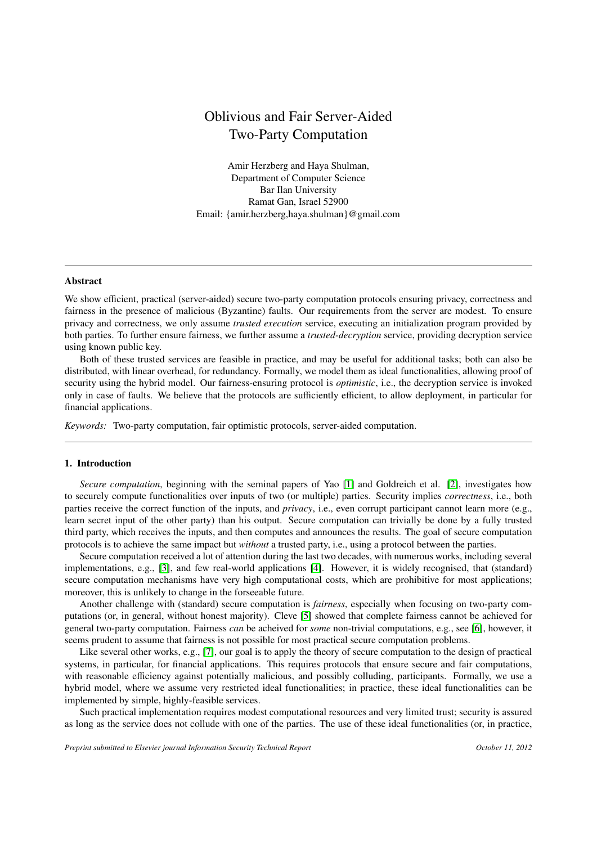# Oblivious and Fair Server-Aided Two-Party Computation

Amir Herzberg and Haya Shulman, Department of Computer Science Bar Ilan University Ramat Gan, Israel 52900 Email: {amir.herzberg,haya.shulman}@gmail.com

# Abstract

We show efficient, practical (server-aided) secure two-party computation protocols ensuring privacy, correctness and fairness in the presence of malicious (Byzantine) faults. Our requirements from the server are modest. To ensure privacy and correctness, we only assume *trusted execution* service, executing an initialization program provided by both parties. To further ensure fairness, we further assume a *trusted-decryption* service, providing decryption service using known public key.

Both of these trusted services are feasible in practice, and may be useful for additional tasks; both can also be distributed, with linear overhead, for redundancy. Formally, we model them as ideal functionalities, allowing proof of security using the hybrid model. Our fairness-ensuring protocol is *optimistic*, i.e., the decryption service is invoked only in case of faults. We believe that the protocols are sufficiently efficient, to allow deployment, in particular for financial applications.

*Keywords:* Two-party computation, fair optimistic protocols, server-aided computation.

### 1. Introduction

*Secure computation*, beginning with the seminal papers of Yao [\[1\]](#page-15-0) and Goldreich et al. [\[2\]](#page-15-1), investigates how to securely compute functionalities over inputs of two (or multiple) parties. Security implies *correctness*, i.e., both parties receive the correct function of the inputs, and *privacy*, i.e., even corrupt participant cannot learn more (e.g., learn secret input of the other party) than his output. Secure computation can trivially be done by a fully trusted third party, which receives the inputs, and then computes and announces the results. The goal of secure computation protocols is to achieve the same impact but *without* a trusted party, i.e., using a protocol between the parties.

Secure computation received a lot of attention during the last two decades, with numerous works, including several implementations, e.g., [\[3\]](#page-15-2), and few real-world applications [\[4\]](#page-15-3). However, it is widely recognised, that (standard) secure computation mechanisms have very high computational costs, which are prohibitive for most applications; moreover, this is unlikely to change in the forseeable future.

Another challenge with (standard) secure computation is *fairness*, especially when focusing on two-party computations (or, in general, without honest majority). Cleve [\[5\]](#page-15-4) showed that complete fairness cannot be achieved for general two-party computation. Fairness *can* be acheived for *some* non-trivial computations, e.g., see [\[6\]](#page-15-5), however, it seems prudent to assume that fairness is not possible for most practical secure computation problems.

Like several other works, e.g., [\[7\]](#page-15-6), our goal is to apply the theory of secure computation to the design of practical systems, in particular, for financial applications. This requires protocols that ensure secure and fair computations, with reasonable efficiency against potentially malicious, and possibly colluding, participants. Formally, we use a hybrid model, where we assume very restricted ideal functionalities; in practice, these ideal functionalities can be implemented by simple, highly-feasible services.

Such practical implementation requires modest computational resources and very limited trust; security is assured as long as the service does not collude with one of the parties. The use of these ideal functionalities (or, in practice,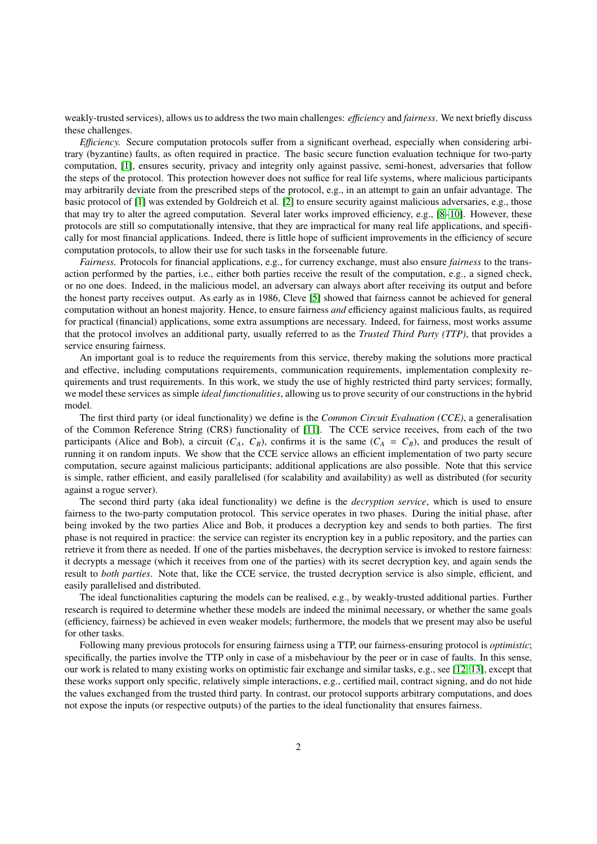weakly-trusted services), allows us to address the two main challenges: *e*ffi*ciency* and *fairness*. We next briefly discuss these challenges.

*E*ffi*ciency.* Secure computation protocols suffer from a significant overhead, especially when considering arbitrary (byzantine) faults, as often required in practice. The basic secure function evaluation technique for two-party computation, [\[1\]](#page-15-0), ensures security, privacy and integrity only against passive, semi-honest, adversaries that follow the steps of the protocol. This protection however does not suffice for real life systems, where malicious participants may arbitrarily deviate from the prescribed steps of the protocol, e.g., in an attempt to gain an unfair advantage. The basic protocol of [\[1\]](#page-15-0) was extended by Goldreich et al. [\[2\]](#page-15-1) to ensure security against malicious adversaries, e.g., those that may try to alter the agreed computation. Several later works improved efficiency, e.g., [\[8–](#page-16-0)[10\]](#page-16-1). However, these protocols are still so computationally intensive, that they are impractical for many real life applications, and specifically for most financial applications. Indeed, there is little hope of sufficient improvements in the efficiency of secure computation protocols, to allow their use for such tasks in the forseenable future.

*Fairness.* Protocols for financial applications, e.g., for currency exchange, must also ensure *fairness* to the transaction performed by the parties, i.e., either both parties receive the result of the computation, e.g., a signed check, or no one does. Indeed, in the malicious model, an adversary can always abort after receiving its output and before the honest party receives output. As early as in 1986, Cleve [\[5\]](#page-15-4) showed that fairness cannot be achieved for general computation without an honest majority. Hence, to ensure fairness *and* efficiency against malicious faults, as required for practical (financial) applications, some extra assumptions are necessary. Indeed, for fairness, most works assume that the protocol involves an additional party, usually referred to as the *Trusted Third Party (TTP)*, that provides a service ensuring fairness.

An important goal is to reduce the requirements from this service, thereby making the solutions more practical and effective, including computations requirements, communication requirements, implementation complexity requirements and trust requirements. In this work, we study the use of highly restricted third party services; formally, we model these services as simple *ideal functionalities*, allowing us to prove security of our constructions in the hybrid model.

The first third party (or ideal functionality) we define is the *Common Circuit Evaluation (CCE)*, a generalisation of the Common Reference String (CRS) functionality of [\[11\]](#page-16-2). The CCE service receives, from each of the two participants (Alice and Bob), a circuit  $(C_A, C_B)$ , confirms it is the same  $(C_A = C_B)$ , and produces the result of running it on random inputs. We show that the CCE service allows an efficient implementation of two party secure computation, secure against malicious participants; additional applications are also possible. Note that this service is simple, rather efficient, and easily parallelised (for scalability and availability) as well as distributed (for security against a rogue server).

The second third party (aka ideal functionality) we define is the *decryption service*, which is used to ensure fairness to the two-party computation protocol. This service operates in two phases. During the initial phase, after being invoked by the two parties Alice and Bob, it produces a decryption key and sends to both parties. The first phase is not required in practice: the service can register its encryption key in a public repository, and the parties can retrieve it from there as needed. If one of the parties misbehaves, the decryption service is invoked to restore fairness: it decrypts a message (which it receives from one of the parties) with its secret decryption key, and again sends the result to *both parties*. Note that, like the CCE service, the trusted decryption service is also simple, efficient, and easily parallelised and distributed.

The ideal functionalities capturing the models can be realised, e.g., by weakly-trusted additional parties. Further research is required to determine whether these models are indeed the minimal necessary, or whether the same goals (efficiency, fairness) be achieved in even weaker models; furthermore, the models that we present may also be useful for other tasks.

Following many previous protocols for ensuring fairness using a TTP, our fairness-ensuring protocol is *optimistic*; specifically, the parties involve the TTP only in case of a misbehaviour by the peer or in case of faults. In this sense, our work is related to many existing works on optimistic fair exchange and similar tasks, e.g., see [\[12,](#page-16-3) [13\]](#page-16-4), except that these works support only specific, relatively simple interactions, e.g., certified mail, contract signing, and do not hide the values exchanged from the trusted third party. In contrast, our protocol supports arbitrary computations, and does not expose the inputs (or respective outputs) of the parties to the ideal functionality that ensures fairness.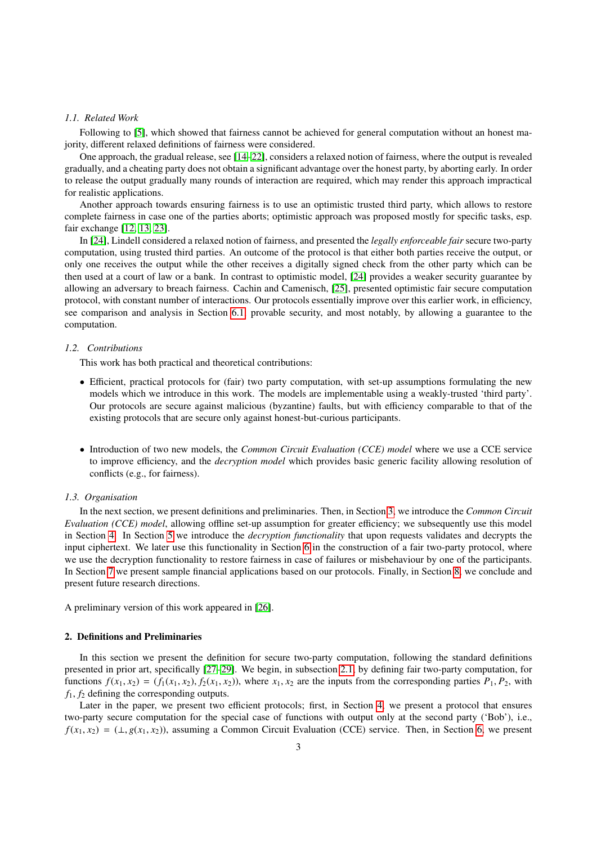#### *1.1. Related Work*

Following to [\[5\]](#page-15-4), which showed that fairness cannot be achieved for general computation without an honest majority, different relaxed definitions of fairness were considered.

One approach, the gradual release, see [\[14](#page-16-5)[–22\]](#page-16-6), considers a relaxed notion of fairness, where the output is revealed gradually, and a cheating party does not obtain a significant advantage over the honest party, by aborting early. In order to release the output gradually many rounds of interaction are required, which may render this approach impractical for realistic applications.

Another approach towards ensuring fairness is to use an optimistic trusted third party, which allows to restore complete fairness in case one of the parties aborts; optimistic approach was proposed mostly for specific tasks, esp. fair exchange [\[12,](#page-16-3) [13,](#page-16-4) [23\]](#page-16-7).

In [\[24\]](#page-16-8), Lindell considered a relaxed notion of fairness, and presented the *legally enforceable fair* secure two-party computation, using trusted third parties. An outcome of the protocol is that either both parties receive the output, or only one receives the output while the other receives a digitally signed check from the other party which can be then used at a court of law or a bank. In contrast to optimistic model, [\[24\]](#page-16-8) provides a weaker security guarantee by allowing an adversary to breach fairness. Cachin and Camenisch, [\[25\]](#page-16-9), presented optimistic fair secure computation protocol, with constant number of interactions. Our protocols essentially improve over this earlier work, in efficiency, see comparison and analysis in Section [6.1,](#page-13-0) provable security, and most notably, by allowing a guarantee to the computation.

## *1.2. Contributions*

This work has both practical and theoretical contributions:

- Efficient, practical protocols for (fair) two party computation, with set-up assumptions formulating the new models which we introduce in this work. The models are implementable using a weakly-trusted 'third party'. Our protocols are secure against malicious (byzantine) faults, but with efficiency comparable to that of the existing protocols that are secure only against honest-but-curious participants.
- Introduction of two new models, the *Common Circuit Evaluation (CCE) model* where we use a CCE service to improve efficiency, and the *decryption model* which provides basic generic facility allowing resolution of conflicts (e.g., for fairness).

## *1.3. Organisation*

In the next section, we present definitions and preliminaries. Then, in Section [3,](#page-5-0) we introduce the *Common Circuit Evaluation (CCE) model*, allowing offline set-up assumption for greater efficiency; we subsequently use this model in Section [4.](#page-6-0) In Section [5](#page-11-0) we introduce the *decryption functionality* that upon requests validates and decrypts the input ciphertext. We later use this functionality in Section [6](#page-11-1) in the construction of a fair two-party protocol, where we use the decryption functionality to restore fairness in case of failures or misbehaviour by one of the participants. In Section [7](#page-14-0) we present sample financial applications based on our protocols. Finally, in Section [8,](#page-15-7) we conclude and present future research directions.

A preliminary version of this work appeared in [\[26\]](#page-16-10).

## 2. Definitions and Preliminaries

In this section we present the definition for secure two-party computation, following the standard definitions presented in prior art, specifically [\[27–](#page-16-11)[29\]](#page-16-12). We begin, in subsection [2.1,](#page-3-0) by defining fair two-party computation, for functions  $f(x_1, x_2) = (f_1(x_1, x_2), f_2(x_1, x_2))$ , where  $x_1, x_2$  are the inputs from the corresponding parties  $P_1, P_2$ , with  $f_1$ ,  $f_2$  defining the corresponding outputs.

Later in the paper, we present two efficient protocols; first, in Section [4,](#page-6-0) we present a protocol that ensures two-party secure computation for the special case of functions with output only at the second party ('Bob'), i.e.,  $f(x_1, x_2) = (\perp, g(x_1, x_2))$ , assuming a Common Circuit Evaluation (CCE) service. Then, in Section [6,](#page-11-1) we present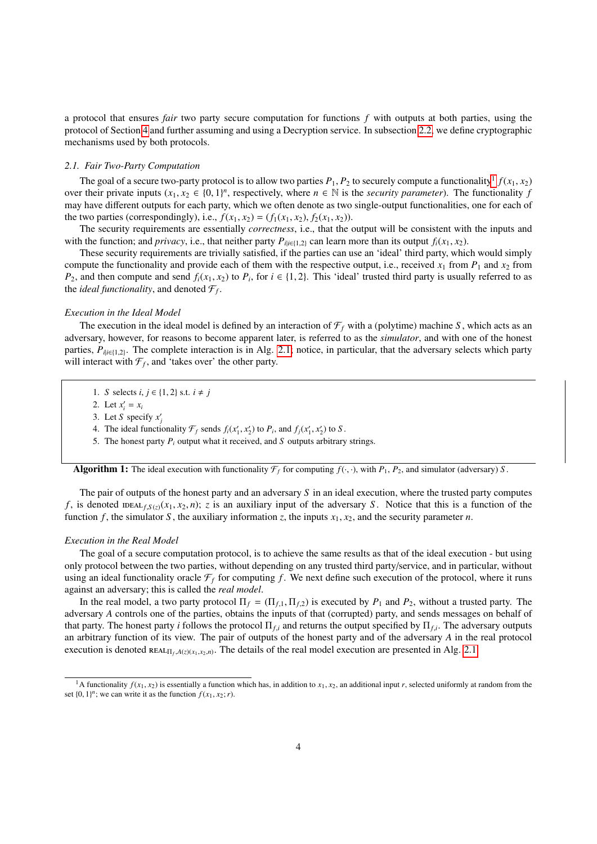a protocol that ensures *fair* two party secure computation for functions *f* with outputs at both parties, using the protocol of Section [4](#page-6-0) and further assuming and using a Decryption service. In subsection [2.2,](#page-5-1) we define cryptographic mechanisms used by both protocols.

### <span id="page-3-0"></span>*2.1. Fair Two-Party Computation*

The goal of a secure two-party protocol is to allow two parties  $P_1, P_2$  $P_1, P_2$  $P_1, P_2$  to securely compute a functionality<sup>1</sup>  $f(x_1, x_2)$ <br>*r* their private inputs  $(x_1, x_2 \in \{0, 1\}^n$  respectively where  $n \in \mathbb{N}$  is the *security p* over their private inputs  $(x_1, x_2 \in \{0, 1\}^n$ , respectively, where  $n \in \mathbb{N}$  is the *security parameter*). The functionality *f* may have different outputs for each party, which we often denote as two single-output fu may have different outputs for each party, which we often denote as two single-output functionalities, one for each of the two parties (correspondingly), i.e.,  $f(x_1, x_2) = (f_1(x_1, x_2), f_2(x_1, x_2))$ .

The security requirements are essentially *correctness*, i.e., that the output will be consistent with the inputs and with the function; and *privacy*, i.e., that neither party  $P_{\text{di}\in\{1,2\}}$  can learn more than its output  $f_i(x_1, x_2)$ .

These security requirements are trivially satisfied, if the parties can use an 'ideal' third party, which would simply compute the functionality and provide each of them with the respective output, i.e., received  $x_1$  from  $P_1$  and  $x_2$  from *P*<sub>2</sub>, and then compute and send  $f_i(x_1, x_2)$  to  $P_i$ , for  $i \in \{1, 2\}$ . This 'ideal' trusted third party is usually referred to as the *ideal functionality* and denoted  $\mathcal{F}_c$ the *ideal functionality*, and denoted  $\mathcal{F}_f$ .

#### *Execution in the Ideal Model*

The execution in the ideal model is defined by an interaction of  $\mathcal{F}_f$  with a (polytime) machine *S*, which acts as an adversary, however, for reasons to become apparent later, is referred to as the *simulator*, and with one of the honest parties,  $P_{\hat{i}|i\in\{1,2\}}$ . The complete interaction is in Alg. [2.1;](#page-3-2) notice, in particular, that the adversary selects which party will interact with  $\mathcal{F}_f$ , and 'takes over' the other party.

<span id="page-3-2"></span>1. *S* selects *i*, *j* ∈ {1, 2} s.t.  $i ≠ j$ 

2. Let  $x'_i = x_i$ 

3. Let *S* specify  $x'_j$ 

4. The ideal functionality  $\mathcal{F}_f$  sends  $f_i(x'_1, x'_2)$  to  $P_i$ , and  $f_j(x'_1, x'_2)$  to  $S$ .

5. The honest party *P<sup>i</sup>* output what it received, and *S* outputs arbitrary strings.

**Algorithm 1:** The ideal execution with functionality  $\mathcal{F}_f$  for computing  $f(\cdot, \cdot)$ , with  $P_1$ ,  $P_2$ , and simulator (adversary) *S*.

The pair of outputs of the honest party and an adversary *S* in an ideal execution, where the trusted party computes *f*, is denoted  $\text{IDEL}_{f,S(z)}(x_1, x_2, n)$ ; *z* is an auxiliary input of the adversary *S*. Notice that this is a function of the function f, the simulator S, the auxiliary information z, the inputs  $x_1, x_2$ , and the security parameter *n*.

## *Execution in the Real Model*

The goal of a secure computation protocol, is to achieve the same results as that of the ideal execution - but using only protocol between the two parties, without depending on any trusted third party/service, and in particular, without using an ideal functionality oracle  $\mathcal{F}_f$  for computing f. We next define such execution of the protocol, where it runs against an adversary; this is called the *real model*.

In the real model, a two party protocol  $\Pi_f = (\Pi_{f,1}, \Pi_{f,2})$  is executed by  $P_1$  and  $P_2$ , without a trusted party. The adversary *A* controls one of the parties, obtains the inputs of that (corrupted) party, and sends messages on behalf of that party. The honest party *i* follows the protocol  $\Pi_{f,i}$  and returns the output specified by  $\Pi_{f,i}$ . The adversary outputs on orbitrary function of its view. The pair of outputs of the honest party and of the educ an arbitrary function of its view. The pair of outputs of the honest party and of the adversary *A* in the real protocol execution is denoted  $\text{real}_{\Pi_f, A(z)(x_1, x_2, n)}$ . The details of the real model execution are presented in Alg. [2.1.](#page-4-0)

<span id="page-3-1"></span><sup>&</sup>lt;sup>1</sup>A functionality  $f(x_1, x_2)$  is essentially a function which has, in addition to  $x_1, x_2$ , an additional input *r*, selected uniformly at random from the set  $\{0, 1\}^n$ ; we can write it as the function  $f(x_1, x_2; r)$ .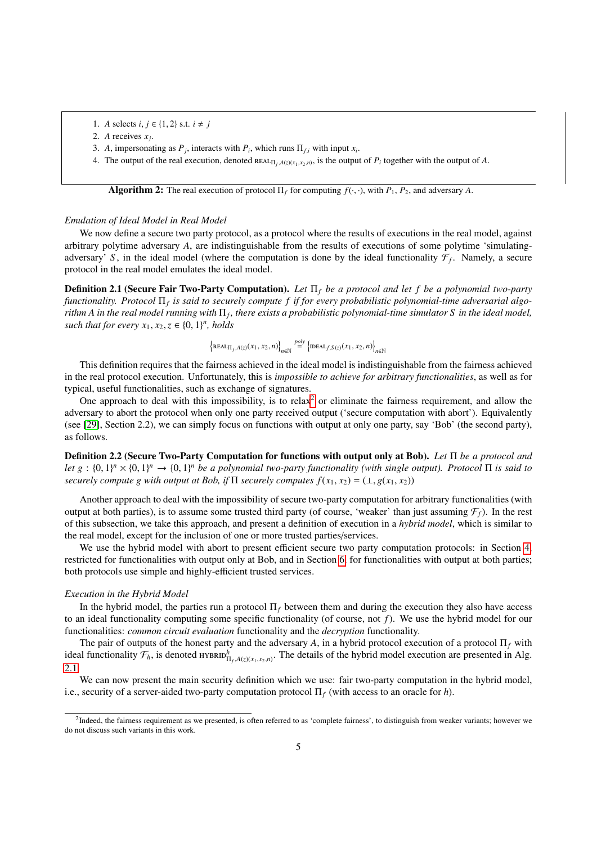- <span id="page-4-0"></span>1. *A* selects *i*, *j* ∈ {1, 2} s.t. *i* ≠ *j*
- 2. *A* receives  $x_j$ .
- 3. *A*, impersonating as  $P_j$ , interacts with  $P_i$ , which runs  $\Pi_{f,i}$  with input  $x_i$ .
- 4. The output of the real execution, denoted  $\text{rel}_{\Pi_f A(z)(x_1,x_2,n)}$ , is the output of  $P_i$  together with the output of  $A$ .

**Algorithm 2:** The real execution of protocol  $\Pi_f$  for computing  $f(\cdot, \cdot)$ , with  $P_1$ ,  $P_2$ , and adversary *A*.

#### *Emulation of Ideal Model in Real Model*

We now define a secure two party protocol, as a protocol where the results of executions in the real model, against arbitrary polytime adversary *A*, are indistinguishable from the results of executions of some polytime 'simulatingadversary' *S*, in the ideal model (where the computation is done by the ideal functionality  $\mathcal{F}_f$ . Namely, a secure protocol in the real model emulates the ideal model.

<span id="page-4-2"></span>Definition 2.1 (Secure Fair Two-Party Computation). *Let* Π*<sup>f</sup> be a protocol and let f be a polynomial two-party functionality. Protocol* Π*<sup>f</sup> is said to securely compute f if for every probabilistic polynomial-time adversarial algorithm A in the real model running with*  $\Pi_f$ , there exists a probabilistic polynomial-time simulator S in the ideal model, *such that for every*  $x_1, x_2, z \in \{0, 1\}^n$ , *holds* 

$$
\left\{\text{REAL}_{\Pi_f, A(z)}(x_1, x_2, n)\right\}_{n \in \mathbb{N}} \stackrel{poly}{=} \left\{\text{IDEAL}_{f, S(z)}(x_1, x_2, n)\right\}_{n \in \mathbb{N}}
$$

This definition requires that the fairness achieved in the ideal model is indistinguishable from the fairness achieved in the real protocol execution. Unfortunately, this is *impossible to achieve for arbitrary functionalities*, as well as for typical, useful functionalities, such as exchange of signatures.

One approach to deal with this impossibility, is to relax<sup>[2](#page-4-1)</sup> or eliminate the fairness requirement, and allow the adversary to abort the protocol when only one party received output ('secure computation with abort'). Equivalently (see [\[29\]](#page-16-12), Section 2.2), we can simply focus on functions with output at only one party, say 'Bob' (the second party), as follows.

Definition 2.2 (Secure Two-Party Computation for functions with output only at Bob). *Let* Π *be a protocol and let g* :  $\{0,1\}^n \times \{0,1\}^n \to \{0,1\}^n$  *be a polynomial two-party functionality (with single output). Protocol*  $\Pi$  *is said to securely compute a with output at Rob if*  $\Pi$  *securely computes*  $f(x, x_0) = (1, g(x_0, x$ *securely compute g with output at Bob, if*  $\Pi$  *securely computes*  $f(x_1, x_2) = (\bot, g(x_1, x_2))$ 

Another approach to deal with the impossibility of secure two-party computation for arbitrary functionalities (with output at both parties), is to assume some trusted third party (of course, 'weaker' than just assuming  $\mathcal{F}_f$ ). In the rest of this subsection, we take this approach, and present a definition of execution in a *hybrid model*, which is similar to the real model, except for the inclusion of one or more trusted parties/services.

We use the hybrid model with abort to present efficient secure two party computation protocols: in Section [4,](#page-6-0) restricted for functionalities with output only at Bob, and in Section [6,](#page-11-1) for functionalities with output at both parties; both protocols use simple and highly-efficient trusted services.

#### *Execution in the Hybrid Model*

In the hybrid model, the parties run a protocol Π*<sup>f</sup>* between them and during the execution they also have access to an ideal functionality computing some specific functionality (of course, not *f*). We use the hybrid model for our functionalities: *common circuit evaluation* functionality and the *decryption* functionality.

The pair of outputs of the honest party and the adversary A, in a hybrid protocol execution of a protocol  $\Pi_f$  with ideal functionality  $\mathcal{F}_h$ , is denoted  $H_Y B_R I_{\Pi_f,A(z)(x_1,x_2,n)}$ . The details of the hybrid model execution are presented in Alg. [2.1.](#page-5-2)

We can now present the main security definition which we use: fair two-party computation in the hybrid model, i.e., security of a server-aided two-party computation protocol Π*<sup>f</sup>* (with access to an oracle for *h*).

<span id="page-4-3"></span><span id="page-4-1"></span><sup>&</sup>lt;sup>2</sup>Indeed, the fairness requirement as we presented, is often referred to as 'complete fairness', to distinguish from weaker variants; however we do not discuss such variants in this work.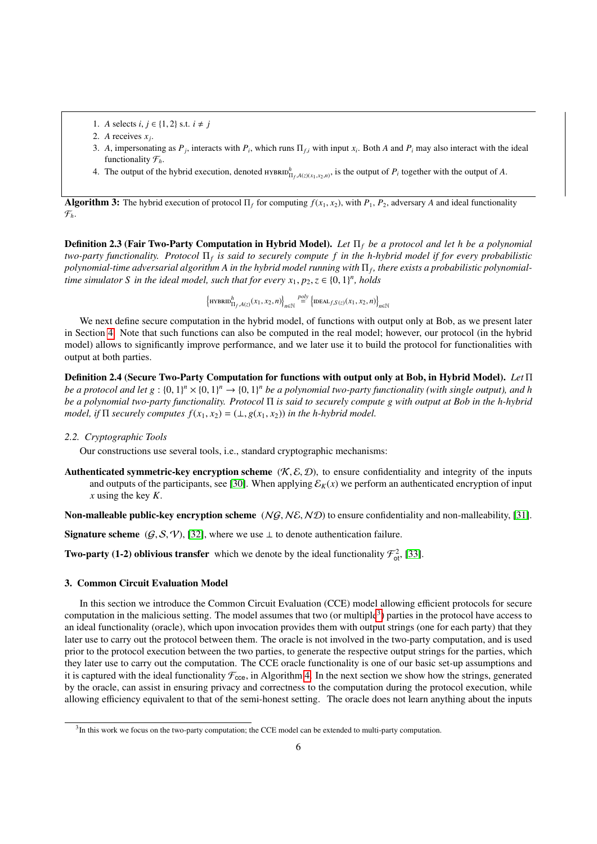- <span id="page-5-2"></span>1. *A* selects *i*, *j* ∈ {1, 2} s.t. *i* ≠ *j*
- 2. *A* receives  $x_j$ .
- 3. *A*, impersonating as  $P_j$ , interacts with  $P_i$ , which runs  $\Pi_{f,i}$  with input  $x_i$ . Both *A* and  $P_i$  may also interact with the ideal functionality  $\sigma$ functionality  $\mathcal{F}_h$ .
- 4. The output of the hybrid execution, denoted  $H_{\text{H}_f,A(z)(x_1,x_2,n)}$ , is the output of *P<sub>i</sub>* together with the output of *A*.

**Algorithm 3:** The hybrid execution of protocol  $\Pi_f$  for computing  $f(x_1, x_2)$ , with  $P_1$ ,  $P_2$ , adversary *A* and ideal functionality F*h*.

Definition 2.3 (Fair Two-Party Computation in Hybrid Model). *Let* Π*<sup>f</sup> be a protocol and let h be a polynomial two-party functionality. Protocol* Π*<sup>f</sup> is said to securely compute f in the h-hybrid model if for every probabilistic*  $p$ olynomial-time adversarial algorithm A in the hybrid model running with  $\Pi_f$ , there exists a probabilistic polynomial*time simulator* S *in the ideal model, such that for every*  $x_1, p_2, z \in \{0, 1\}^n$ , *holds* 

> $\left\{\text{HYBRID}_{\Pi_f, A(z)}^h(x_1, x_2, n)\right\}_{n \in \mathbb{N}}$  $\left\{\text{IDEAL}_{f,S(z)}(x_1, x_2, n)\right\}_{n\in\mathbb{N}}$

We next define secure computation in the hybrid model, of functions with output only at Bob, as we present later in Section [4.](#page-6-0) Note that such functions can also be computed in the real model; however, our protocol (in the hybrid model) allows to significantly improve performance, and we later use it to build the protocol for functionalities with output at both parties.

<span id="page-5-4"></span>Definition 2.4 (Secure Two-Party Computation for functions with output only at Bob, in Hybrid Model). *Let* Π *be a protocol and let g* :  $\{0,1\}^n \times \{0,1\}^n \rightarrow \{0,1\}^n$  *be a polynomial two-party functionality (with single output), and h*<br>*he a polynomial two-party functionality. Protocol*  $\Pi$  *is said to securely compute a wit be a polynomial two-party functionality. Protocol* Π *is said to securely compute g with output at Bob in the h-hybrid model, if*  $\Pi$  *securely computes*  $f(x_1, x_2) = (\perp, g(x_1, x_2))$  *in the h-hybrid model.* 

#### <span id="page-5-1"></span>*2.2. Cryptographic Tools*

Our constructions use several tools, i.e., standard cryptographic mechanisms:

Authenticated symmetric-key encryption scheme  $(K, \mathcal{E}, \mathcal{D})$ , to ensure confidentiality and integrity of the inputs and outputs of the participants, see [\[30\]](#page-16-13). When applying  $\mathcal{E}_k(x)$  we perform an authenticated encryption of input *x* using the key *K*.

Non-malleable public-key encryption scheme  $(N\mathcal{G}, N\mathcal{E}, N\mathcal{D})$  to ensure confidentiality and non-malleability, [\[31\]](#page-16-14).

Signature scheme ( $(\mathcal{G}, \mathcal{S}, \mathcal{V})$ , [\[32\]](#page-16-15), where we use ⊥ to denote authentication failure.

**Two-party (1-2) oblivious transfer** which we denote by the ideal functionality  $\mathcal{F}^2_{\text{ot}}$ , [\[33\]](#page-16-16).

## <span id="page-5-0"></span>3. Common Circuit Evaluation Model

In this section we introduce the Common Circuit Evaluation (CCE) model allowing efficient protocols for secure computation in the malicious setting. The model assumes that two (or multiple<sup>[3](#page-5-3)</sup>) parties in the protocol have access to an ideal functionality (oracle), which upon invocation provides them with output strings (one for each party) that they later use to carry out the protocol between them. The oracle is not involved in the two-party computation, and is used prior to the protocol execution between the two parties, to generate the respective output strings for the parties, which they later use to carry out the computation. The CCE oracle functionality is one of our basic set-up assumptions and it is captured with the ideal functionality  $\mathcal{F}_{\text{cee}}$ , in Algorithm [4.](#page-6-1) In the next section we show how the strings, generated by the oracle, can assist in ensuring privacy and correctness to the computation during the protocol execution, while allowing efficiency equivalent to that of the semi-honest setting. The oracle does not learn anything about the inputs

<span id="page-5-3"></span><sup>&</sup>lt;sup>3</sup>In this work we focus on the two-party computation; the CCE model can be extended to multi-party computation.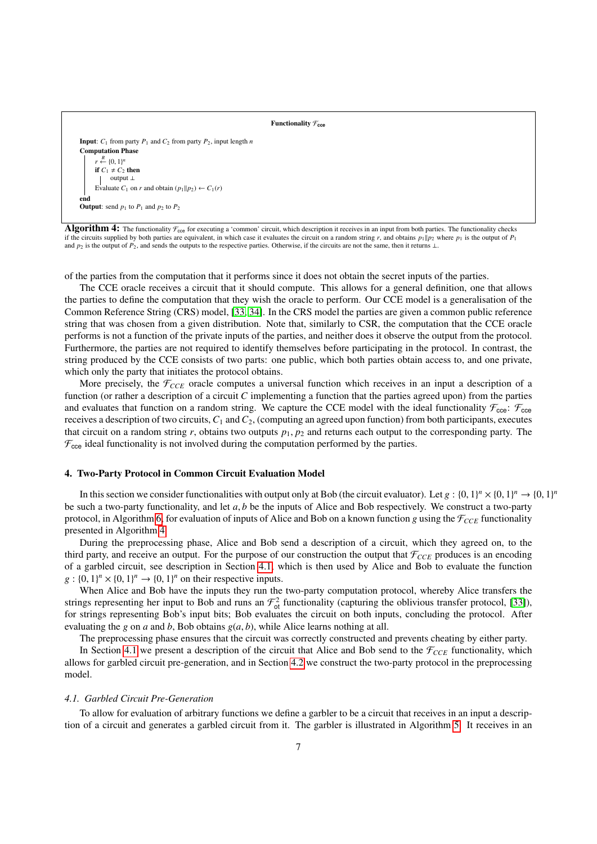```
Input: C_1 from party P_1 and C_2 from party P_2, input length n
Computation Phase
       r \stackrel{R}{\leftarrow} \{0,1\}^n<br>
if C_1 \neq C_2if C_1 \neq C_2 then
            output ⊥
       Evaluate C_1 on r and obtain (p_1||p_2) \leftarrow C_1(r)end
Output: send p_1 to P_1 and p_2 to P_2
```
Algorithm 4: The functionality  $\mathcal{F}_{\text{ce}}$  for executing a 'common' circuit, which description it receives in an input from both parties. The functionality checks if the circuits supplied by both parties are equivalent, in which case it evaluates the circuit on a random string *r*, and obtains  $p_1||p_2$  where  $p_1$  is the output of  $P_1$ and *p*<sub>2</sub> is the output of *P*<sub>2</sub>, and sends the outputs to the respective parties. Otherwise, if the circuits are not the same, then it returns ⊥.

Functionality  $\mathcal{F}_{\text{ccc}}$ 

of the parties from the computation that it performs since it does not obtain the secret inputs of the parties.

The CCE oracle receives a circuit that it should compute. This allows for a general definition, one that allows the parties to define the computation that they wish the oracle to perform. Our CCE model is a generalisation of the Common Reference String (CRS) model, [\[33,](#page-16-16) [34\]](#page-16-17). In the CRS model the parties are given a common public reference string that was chosen from a given distribution. Note that, similarly to CSR, the computation that the CCE oracle performs is not a function of the private inputs of the parties, and neither does it observe the output from the protocol. Furthermore, the parties are not required to identify themselves before participating in the protocol. In contrast, the string produced by the CCE consists of two parts: one public, which both parties obtain access to, and one private, which only the party that initiates the protocol obtains.

More precisely, the  $\mathcal{F}_{CCE}$  oracle computes a universal function which receives in an input a description of a function (or rather a description of a circuit *C* implementing a function that the parties agreed upon) from the parties and evaluates that function on a random string. We capture the CCE model with the ideal functionality  $\mathcal{F}_{\text{ccc}}$ :  $\mathcal{F}_{\text{ccc}}$ receives a description of two circuits,  $C_1$  and  $C_2$ , (computing an agreed upon function) from both participants, executes that circuit on a random string  $r$ , obtains two outputs  $p_1$ ,  $p_2$  and returns each output to the corresponding party. The  $\mathcal{F}_{\text{ce}}$  ideal functionality is not involved during the computation performed by the parties.

#### <span id="page-6-0"></span>4. Two-Party Protocol in Common Circuit Evaluation Model

In this section we consider functionalities with output only at Bob (the circuit evaluator). Let  $g : \{0, 1\}^n \times \{0, 1\}^n \to \{0, 1\}^n$ <br>we have party functionality, and let *g* b be the inputs of Alice and Bob respectivel be such a two-party functionality, and let *<sup>a</sup>*, *<sup>b</sup>* be the inputs of Alice and Bob respectively. We construct a two-party protocol, in Algorithm [6,](#page-8-0) for evaluation of inputs of Alice and Bob on a known function *g* using the  $\mathcal{F}_{CCE}$  functionality presented in Algorithm [4.](#page-6-1)

During the preprocessing phase, Alice and Bob send a description of a circuit, which they agreed on, to the third party, and receive an output. For the purpose of our construction the output that  $\mathcal{F}_{CCE}$  produces is an encoding of a garbled circuit, see description in Section [4.1,](#page-6-2) which is then used by Alice and Bob to evaluate the function  $g: \{0, 1\}^n \times \{0, 1\}^n \rightarrow \{0, 1\}^n$  on their respective inputs.<br>When Alice and Bob have the inputs they run the

When Alice and Bob have the inputs they run the two-party computation protocol, whereby Alice transfers the strings representing her input to Bob and runs an  $\mathcal{F}^2_{\text{ot}}$  functionality (capturing the oblivious transfer protocol, [\[33\]](#page-16-16)), for strings representing Bob's input bits; Bob evaluates the circuit on both inputs, concluding the protocol. After evaluating the *g* on *a* and *b*, Bob obtains  $g(a, b)$ , while Alice learns nothing at all.

The preprocessing phase ensures that the circuit was correctly constructed and prevents cheating by either party.

In Section [4.1](#page-6-2) we present a description of the circuit that Alice and Bob send to the  $\mathcal{F}_{CCE}$  functionality, which allows for garbled circuit pre-generation, and in Section [4.2](#page-7-0) we construct the two-party protocol in the preprocessing model.

# <span id="page-6-2"></span>*4.1. Garbled Circuit Pre-Generation*

To allow for evaluation of arbitrary functions we define a garbler to be a circuit that receives in an input a description of a circuit and generates a garbled circuit from it. The garbler is illustrated in Algorithm [5.](#page-7-1) It receives in an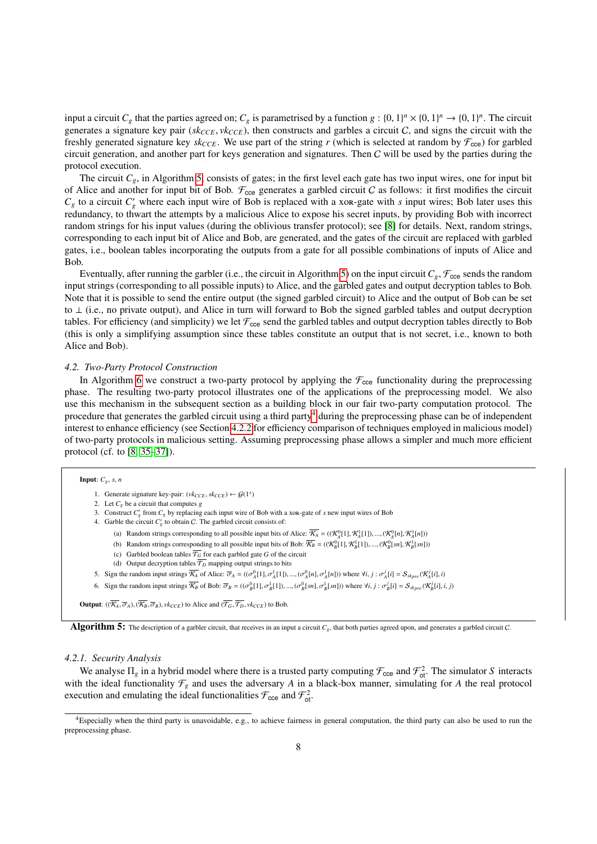input a circuit  $C_g$  that the parties agreed on;  $C_g$  is parametrised by a function  $g: \{0, 1\}^n \times \{0, 1\}^n \to \{0, 1\}^n$ . The circuit generates a signature key pair (skeep *ykess*), then constructs and garbles a circuit generates a signature key pair  $(sk_{CCE}, vk_{CCE})$ , then constructs and garbles a circuit C, and signs the circuit with the freshly generated signature key  $sk_{CCE}$ . We use part of the string *r* (which is selected at random by  $\mathcal{F}_{\text{cce}}$ ) for garbled circuit generation, and another part for keys generation and signatures. Then C will be used by the parties during the protocol execution.

The circuit  $C_g$ , in Algorithm [5,](#page-7-1) consists of gates; in the first level each gate has two input wires, one for input bit of Alice and another for input bit of Bob.  $\mathcal{F}_{\text{cce}}$  generates a garbled circuit C as follows: it first modifies the circuit  $C_g$  to a circuit  $C'_g$  where each input wire of Bob is replaced with a xor-gate with *s* input wires; Bob later uses this redundancy, to thwart the attempts by a malicious Alice to expose his secret inputs, by providing Bob with incorrect random strings for his input values (during the oblivious transfer protocol); see [\[8\]](#page-16-0) for details. Next, random strings, corresponding to each input bit of Alice and Bob, are generated, and the gates of the circuit are replaced with garbled gates, i.e., boolean tables incorporating the outputs from a gate for all possible combinations of inputs of Alice and Bob.

Eventually, after running the garbler (i.e., the circuit in Algorithm [5\)](#page-7-1) on the input circuit  $C_g$ ,  $\mathcal{F}_{\text{ce}}$  sends the random input strings (corresponding to all possible inputs) to Alice, and the garbled gates and output decryption tables to Bob. Note that it is possible to send the entire output (the signed garbled circuit) to Alice and the output of Bob can be set to ⊥ (i.e., no private output), and Alice in turn will forward to Bob the signed garbled tables and output decryption tables. For efficiency (and simplicity) we let  $\mathcal{F}_{\text{ccc}}$  send the garbled tables and output decryption tables directly to Bob (this is only a simplifying assumption since these tables constitute an output that is not secret, i.e., known to both Alice and Bob).

## <span id="page-7-0"></span>*4.2. Two-Party Protocol Construction*

In Algorithm [6](#page-8-0) we construct a two-party protocol by applying the  $\mathcal{F}_{\text{ce}}$  functionality during the preprocessing phase. The resulting two-party protocol illustrates one of the applications of the preprocessing model. We also use this mechanism in the subsequent section as a building block in our fair two-party computation protocol. The procedure that generates the garbled circuit using a third party<sup>[4](#page-7-2)</sup> during the preprocessing phase can be of independent interest to enhance efficiency (see Section [4.2.2](#page-10-0) for efficiency comparison of techniques employed in malicious model) of two-party protocols in malicious setting. Assuming preprocessing phase allows a simpler and much more efficient protocol (cf. to [\[8,](#page-16-0) [35](#page-16-18)[–37\]](#page-16-19)).

<span id="page-7-1"></span>Input: *Cg*, *s*, *n*

- 1. Generate signature key-pair:  $(vk_{CCE}, sk_{CCE}) \leftarrow \mathcal{G}(1^s)$ <br>
2. Let C, he a circuit that computes c
- 2. Let *C<sup>g</sup>* be a circuit that computes *g*
- 3. Construct  $C'_g$  from  $C_g$  by replacing each input wire of Bob with a xor-gate of *s* new input wires of Bob
- 4. Garble the circuit  $C'_g$  to obtain C. The garbled circuit consists of:
	- (a) Random strings corresponding to all possible input bits of Alice:  $\overline{X}_A = ((\mathcal{K}_A^0[1], \mathcal{K}_A^1[1]), ..., (\mathcal{K}_A^0[n], \mathcal{K}_A^1[n])$
	- (b) Random strings corresponding to all possible input bits of Bob:  $\overline{\mathcal{K}_B} = ((\mathcal{K}_B^0[1], \mathcal{K}_B^1[1]), ..., (\mathcal{K}_B^0[s\eta], \mathcal{K}_B^1[s\eta]))$
	- (c) Garbled boolean tables  $\overline{\mathcal{T}_G}$  for each garbled gate *G* of the circuit
	- (d) Output decryption tables  $\overline{\mathcal{T}_D}$  mapping output strings to bits
- 5. Sign the random input strings  $\overline{\mathcal{K}_A}$  of Alice:  $\overline{\sigma}_A = ((\sigma_A^0[1], \sigma_A^1[1]), ..., (\sigma_A^0[n], \sigma_A^1[n]))$  where  $\forall i, j : \sigma_A^j[i] = S_{\text{skpre}}(\mathcal{K}_A^j[i], i)$
- <span id="page-7-3"></span>6. Sign the random input strings  $\overline{\mathcal{K}_B}$  of Bob:  $\overline{\sigma}_B = ((\sigma_B^0[1], \sigma_B^1[1]), ..., (\sigma_B^0[sn], \sigma_B^1[sn]))$  where  $\forall i, j : \sigma_B^j[i] = S_{skpre}(\mathcal{K}_B^j[i], i, j)$

**Output:**  $((\overline{\mathcal{K}_A}, \overline{\sigma}_A), (\overline{\mathcal{K}_B}, \overline{\sigma}_B), \nu k_{CCE})$  to Alice and  $(\overline{\mathcal{T}_G}, \overline{\mathcal{T}_D}, \nu k_{CCE})$  to Bob.

Algorithm 5: The description of a garbler circuit, that receives in an input a circuit *C<sub>g</sub>*, that both parties agreed upon, and generates a garbled circuit *C*.

# *4.2.1. Security Analysis*

We analyse  $\Pi_g$  in a hybrid model where there is a trusted party computing  $\mathcal{F}_{\text{cce}}$  and  $\mathcal{F}_{\text{ot}}^2$ . The simulator *S* interacts with the ideal functionality  $\mathcal{F}_g$  and uses the adversary *A* in a black-box manner, simulating for *A* the real protocol execution and emulating the ideal functionalities  $\mathcal{F}_{\text{ce}}$  and  $\mathcal{F}_{\text{ot}}^2$ .

<span id="page-7-2"></span><sup>4</sup>Especially when the third party is unavoidable, e.g., to achieve fairness in general computation, the third party can also be used to run the preprocessing phase.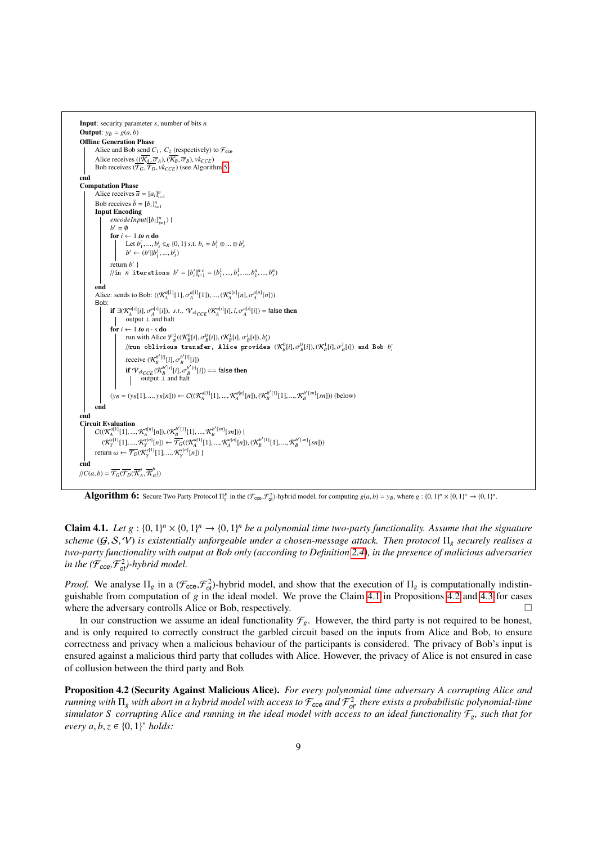```
Input: security parameter s, number of bits n
Output: v_B = g(a, b)Offline Generation Phase
            Alice and Bob send C_1, C_2 (respectively) to \mathcal{F}_{\text{cc}e}Alice receives ((\overline{K_A}, \overline{\sigma}_A), (\overline{K_B}, \overline{\sigma}_B), \nu k_{CCE})Bob receives (\overline{\mathcal{T}_G}, \overline{\mathcal{T}_D}, \nu k_{CCE}) 5)
end
Computation Phase
            Alice receives \overline{a} = [a_i]_{i=1}^nBob receives \overline{b} = [b_i]_{i=1}^nInput Encoding
                        encodelnput([b_i]_{i=1}^n)b' = \emptysetfor i \leftarrow 1 to n do
                                    Let b_1^i, ..., b_s^i \in_R \{0, 1\} s.t. b_i = b_1^i \oplus ... \oplus b_s^i<br>
b'_i \in B_i^i \cup B_i^ib' \leftarrow (b' || b_1^i, ..., b_s^i)return b' }
                        \mathcal{N} = [b'_i]_{i=1}^{n_s} = (b_1^1, ..., b_s^1, ..., b_1^n, ..., b_s^n]end
            Alice: sends to Bob: ((\mathcal{K}_{A}^{a[1]}[1], \sigma_{A}^{a[1]}[1]), ..., (\mathcal{K}_{A}^{a[n]}[n], \sigma_{A}^{a[n]}[n]))Bob:
                        if \exists (K_A^{a[i]}[i], \sigma_A^{a[i]}[i]), s.t., \mathcal{V}_{\nu k_{CCE}}(\mathcal{K}_A^{a[i]}[i], i, \sigma_A^{a[i]}[i]) = false then
                                 output ⊥ and halt
                      \overrightarrow{for} \quad i \leftarrow 1 \quad \text{to} \quad n \cdot s \text{ do}run with Alice \mathcal{F}_{\text{ol}}^2((\mathcal{K}_{\text{B}}^0[i], \sigma_{\text{B}}^0[i]), (\mathcal{K}_{\text{B}}^1[i], \sigma_{\text{B}}^1[i]), b'_i)\mathcal{H}^0_B[i], \sigma^0_B[i], \sigma^0_B[i], \sigma^0_B[i], \sigma^1_B[i], \sigma^1_B[i]) and Bob b^{\prime}_i<br>iia iiia iiia iia iia iia iia iia iia iia iia iia iia iia iia iia iia iia iia iia iia iia iia iia iia i
                                    receive (\mathcal{K}_{B}^{b'[i]}[i], \sigma_{B}^{b'[i]}[i])if V_{\text{v}k_{\text{CCE}}} (\mathcal{K}_{B}^{b'[i]}[i], \sigma_{B}^{b'[i]}[i]) == false then<br>| output ⊥ and halt
                        (y_B = (y_B[1], ..., y_B[n])) \leftarrow C((\mathcal{K}_A^{a[1]}[1], ..., \mathcal{K}_A^{a[n]}[n]), (\mathcal{K}_B^{b'[1]}[1], ..., \mathcal{K}_B^{b'[sn]}[sn])) (below)
           end
end
 C((\mathcal{K}_A^{a[1]}[1], ..., \mathcal{K}_A^{a[n]}[n]), (\mathcal{K}_B^{b'[1]}[1], ..., \mathcal{K}_B^{b'[sn]}[s])) {<br>
\mathcal{K}_A^{a[1]}[1], ..., \mathcal{K}_B^{a[n]}[n]) {<br>
\mathcal{K}_B^{a[1]}[1], ..., \mathcal{K}_B^{a[n]}[n]) {
                  (\mathcal{K}_Y^{j[1]}[1], ..., \mathcal{K}_Y^{j[n]}[n]) \leftarrow \overline{\mathcal{T}_G}((\mathcal{K}_A^{a[1]}[1], ..., \mathcal{K}_A^{a[n]}[n]), (\mathcal{K}_B^{b'[1]}[1], ..., \mathcal{K}_B^{b'[m]}[sn]))return \omega \leftarrow \overline{\mathcal{T}_D}(\mathcal{K}_Y^{\mathcal{Y}[1]}[1], ..., \mathcal{K}_Y^{\mathcal{Y}[n]}[n])end
 \overline{\mathcal{T}_G}(\overline{\mathcal{T}_D}(\overline{\mathcal{K}}_A^a, \overline{\mathcal{K}}_B^b))
```
**Algorithm 6:** Secure Two Party Protocol  $\Pi_g^E$  in the  $(\mathcal{F}_{\text{ice}}, \mathcal{F}_{\text{ot}}^2)$ -hybrid model, for computing  $g(a, b) = y_B$ , where  $g : \{0, 1\}^n \times \{0, 1\}^n \to \{0, 1\}^n$ .

**Claim 4.1.** *Let*  $g : \{0, 1\}^n \times \{0, 1\}^n \to \{0, 1\}^n$  *be a polynomial time two-party functionality. Assume that the signature*<br>scheme (G, S, V) is existentially unforwable under a chosen-message attack. Then protocol *scheme* (G,S, <sup>V</sup>) *is existentially unforgeable under a chosen-message attack. Then protocol* <sup>Π</sup>*<sup>g</sup> securely realises a two-party functionality with output at Bob only (according to Definition [2.4\)](#page-5-4), in the presence of malicious adversaries* in the  $(\mathcal{F}_{\text{cce}}, \mathcal{F}_{\text{ot}}^2)$ -hybrid model.

*Proof.* We analyse  $\Pi_g$  in a ( $\mathcal{F}_{\text{ice}}, \mathcal{F}_{\text{ot}}^2$ )-hybrid model, and show that the execution of  $\Pi_g$  is computationally indistinguishable from computation of *g* in the ideal model. We prove the Claim [4.1](#page-7-3) in Propositions [4.2](#page-8-1) and [4.3](#page-9-0) for cases where the adversary controlls Alice or Bob, respectively.

In our construction we assume an ideal functionality  $\mathcal{F}_g$ . However, the third party is not required to be honest, and is only required to correctly construct the garbled circuit based on the inputs from Alice and Bob, to ensure correctness and privacy when a malicious behaviour of the participants is considered. The privacy of Bob's input is ensured against a malicious third party that colludes with Alice. However, the privacy of Alice is not ensured in case of collusion between the third party and Bob.

<span id="page-8-1"></span>Proposition 4.2 (Security Against Malicious Alice). *For every polynomial time adversary A corrupting Alice and running with*  $\Pi_g$  *with abort in a hybrid model with access to*  $\mathcal{F}_{\rm cce}$  *and*  $\mathcal{F}_{\rm o t}^2$  *there exists a probabilistic polynomial-time simulator S corrupting Alice and running in the ideal model with access to an ideal functionality*  $\mathcal{F}_g$ *, such that for every a*, *<sup>b</sup>*,*<sup>z</sup>* ∈ {0, <sup>1</sup>} <sup>∗</sup> *holds:*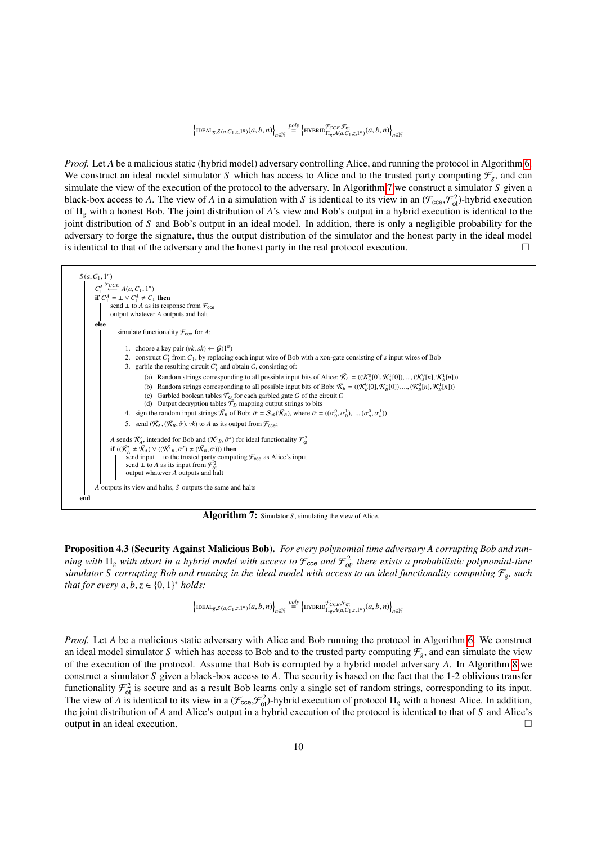#### $\left\{\text{IDEAL}_{g,S(a,C_1,z,1^n)}(a,b,n)\right\}_{n\in\mathbb{N}}$  $\left\{\text{HYBRID}_{\Pi_g, A(a, C_1, z, 1^n)}^{ \mathcal{F}_{CCE}, \mathcal{F}_{\text{ot}}}(a, b, n)\right\}_{n \in \mathbb{N}}$

*Proof.* Let *A* be a malicious static (hybrid model) adversary controlling Alice, and running the protocol in Algorithm [6.](#page-8-0) We construct an ideal model simulator *S* which has access to Alice and to the trusted party computing  $\mathcal{F}_g$ , and can simulate the view of the execution of the protocol to the adversary. In Algorithm [7](#page-9-1) we construct a simulator *S* given a black-box access to *A*. The view of *A* in a simulation with *S* is identical to its view in an  $(\mathcal{F}_{\text{cee}}, \mathcal{F}_{\text{ot}}^2)$ -hybrid execution of Π*<sup>g</sup>* with a honest Bob. The joint distribution of *A*'s view and Bob's output in a hybrid execution is identical to the joint distribution of *S* and Bob's output in an ideal model. In addition, there is only a negligible probability for the adversary to forge the signature, thus the output distribution of the simulator and the honest party in the ideal model is identical to that of the adversary and the honest party in the real protocol execution.  $\Box$ 

<span id="page-9-1"></span>

Algorithm 7: Simulator *S*, simulating the view of Alice.

<span id="page-9-0"></span>Proposition 4.3 (Security Against Malicious Bob). *For every polynomial time adversary A corrupting Bob and running with*  $\Pi_g$  *with abort in a hybrid model with access to*  $\mathcal{F}_{\text{cce}}$  *and*  $\mathcal{F}_{\text{o}r}^2$  *there exists a probabilistic polynomial-time simulator S corrupting Bob and running in the ideal model with access to an ideal functionality computing* F*g, such that for every*  $a, b, z \in \{0, 1\}^*$  *holds:* 

> $\left\{\text{IDEAL}_{g,S(a,C_1,z,1^n)}(a,b,n)\right\}_{n\in\mathbb{N}}$  $\begin{bmatrix} \text{poly} \\ \text{HYBRID}_{\Pi_g, A(a, C_1, z, 1^n)}^{\text{FCCE}}(a, b, n) \end{bmatrix}_{n \in \mathbb{N}}$

*Proof.* Let *A* be a malicious static adversary with Alice and Bob running the protocol in Algorithm [6.](#page-8-0) We construct an ideal model simulator *S* which has access to Bob and to the trusted party computing  $\mathcal{F}_g$ , and can simulate the view of the execution of the protocol. Assume that Bob is corrupted by a hybrid model adversary *A*. In Algorithm [8](#page-10-1) we construct a simulator *S* given a black-box access to *A*. The security is based on the fact that the 1-2 oblivious transfer functionality  $\mathcal{F}_{\text{ot}}^2$  is secure and as a result Bob learns only a single set of random strings, corresponding to its input. The view of *A* is identical to its view in a  $(\mathcal{F}_{\text{ice}}, \mathcal{F}_{\text{ot}}^2)$ -hybrid execution of protocol  $\Pi_g$  with a honest Alice. In addition, the joint distribution of *A* and Alice's output in a hybrid execution of the protocol is identical to that of *S* and Alice's output in an ideal execution.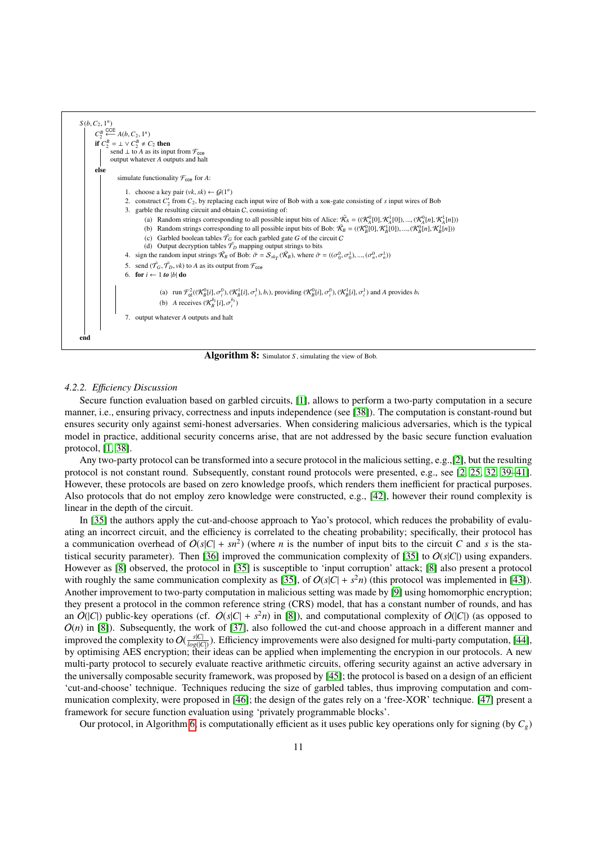<span id="page-10-1"></span>

Algorithm 8: Simulator *S*, simulating the view of Bob.

# <span id="page-10-0"></span>*4.2.2. E*ffi*ciency Discussion*

Secure function evaluation based on garbled circuits, [\[1\]](#page-15-0), allows to perform a two-party computation in a secure manner, i.e., ensuring privacy, correctness and inputs independence (see [\[38\]](#page-16-20)). The computation is constant-round but ensures security only against semi-honest adversaries. When considering malicious adversaries, which is the typical model in practice, additional security concerns arise, that are not addressed by the basic secure function evaluation protocol, [\[1,](#page-15-0) [38\]](#page-16-20).

Any two-party protocol can be transformed into a secure protocol in the malicious setting, e.g.,[\[2\]](#page-15-1), but the resulting protocol is not constant round. Subsequently, constant round protocols were presented, e.g., see [\[2,](#page-15-1) [25,](#page-16-9) [32,](#page-16-15) [39–](#page-16-21)[41\]](#page-16-22). However, these protocols are based on zero knowledge proofs, which renders them inefficient for practical purposes. Also protocols that do not employ zero knowledge were constructed, e.g., [\[42\]](#page-16-23), however their round complexity is linear in the depth of the circuit.

In [\[35\]](#page-16-18) the authors apply the cut-and-choose approach to Yao's protocol, which reduces the probability of evaluating an incorrect circuit, and the efficiency is correlated to the cheating probability; specifically, their protocol has a communication overhead of  $O(s|C| + sn^2)$  (where *n* is the number of input bits to the circuit *C* and *s* is the sta-tistical security parameter). Then [\[36\]](#page-16-24) improved the communication complexity of [\[35\]](#page-16-18) to  $O(s|C|)$  using expanders. However as [\[8\]](#page-16-0) observed, the protocol in [\[35\]](#page-16-18) is susceptible to 'input corruption' attack; [\[8\]](#page-16-0) also present a protocol with roughly the same communication complexity as [\[35\]](#page-16-18), of  $O(s|C| + s^2n)$  (this protocol was implemented in [\[43\]](#page-16-25)). Another improvement to two-party computation in malicious setting was made by [\[9\]](#page-16-26) using homomorphic encryption; they present a protocol in the common reference string (CRS) model, that has a constant number of rounds, and has an  $O(|C|)$  public-key operations (cf.  $O(s|C| + s^2n)$  in [\[8\]](#page-16-0)), and computational complexity of  $O(|C|)$  (as opposed to  $O(n)$  in [\[8\]](#page-16-0)). Subsequently, the work of [\[37\]](#page-16-19), also followed the cut-and choose approach in a different manner and improved the complexity to  $O(\frac{s|C|}{log(|C|)})$ . Efficiency improvements were also designed for multi-party computation, [\[44\]](#page-17-0), by optimising AES encryption; their ideas can be applied when implementing the encrypion in our protocols. A new multi-party protocol to securely evaluate reactive arithmetic circuits, offering security against an active adversary in the universally composable security framework, was proposed by [\[45\]](#page-17-1); the protocol is based on a design of an efficient 'cut-and-choose' technique. Techniques reducing the size of garbled tables, thus improving computation and communication complexity, were proposed in [\[46\]](#page-17-2); the design of the gates rely on a 'free-XOR' technique. [\[47\]](#page-17-3) present a framework for secure function evaluation using 'privately programmable blocks'.

Our protocol, in Algorithm [6,](#page-8-0) is computationally efficient as it uses public key operations only for signing (by *Cg*)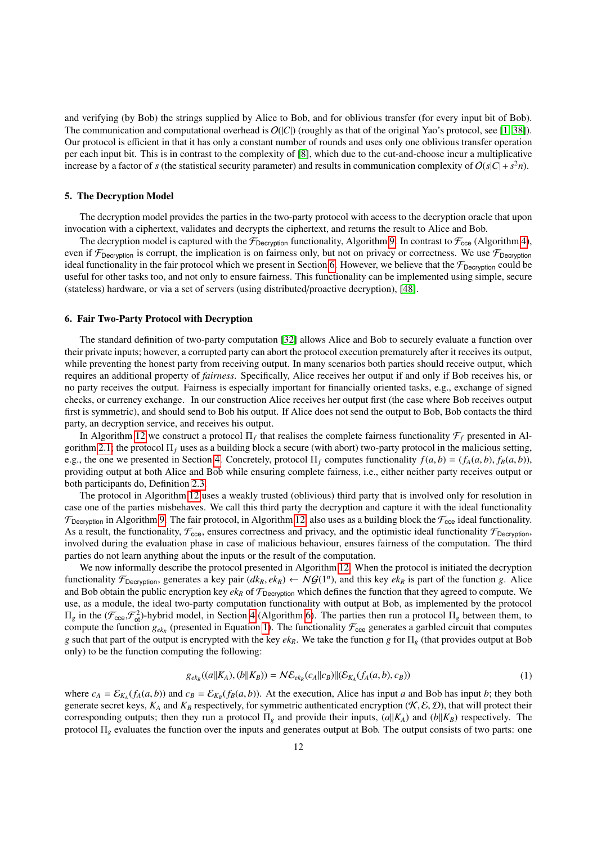and verifying (by Bob) the strings supplied by Alice to Bob, and for oblivious transfer (for every input bit of Bob). The communication and computational overhead is  $O(|C|)$  (roughly as that of the original Yao's protocol, see [\[1,](#page-15-0) [38\]](#page-16-20)). Our protocol is efficient in that it has only a constant number of rounds and uses only one oblivious transfer operation per each input bit. This is in contrast to the complexity of [\[8\]](#page-16-0), which due to the cut-and-choose incur a multiplicative increase by a factor of *s* (the statistical security parameter) and results in communication complexity of  $O(s|C|+s^2n)$ .

## <span id="page-11-0"></span>5. The Decryption Model

The decryption model provides the parties in the two-party protocol with access to the decryption oracle that upon invocation with a ciphertext, validates and decrypts the ciphertext, and returns the result to Alice and Bob.

The decryption model is captured with the  $\mathcal{F}_{\text{Decryption}}$  functionality, Algorithm [9.](#page-12-0) In contrast to  $\mathcal{F}_{\text{cee}}$  (Algorithm [4\)](#page-6-1), even if  $\mathcal{F}_{\text{Decryption}}$  is corrupt, the implication is on fairness only, but not on privacy or correctness. We use  $\mathcal{F}_{\text{Decryption}}$ ideal functionality in the fair protocol which we present in Section [6.](#page-11-1) However, we believe that the  $\mathcal{F}_{\text{Decryption}}$  could be useful for other tasks too, and not only to ensure fairness. This functionality can be implemented using simple, secure (stateless) hardware, or via a set of servers (using distributed/proactive decryption), [\[48\]](#page-17-4).

#### <span id="page-11-1"></span>6. Fair Two-Party Protocol with Decryption

The standard definition of two-party computation [\[32\]](#page-16-15) allows Alice and Bob to securely evaluate a function over their private inputs; however, a corrupted party can abort the protocol execution prematurely after it receives its output, while preventing the honest party from receiving output. In many scenarios both parties should receive output, which requires an additional property of *fairness*. Specifically, Alice receives her output if and only if Bob receives his, or no party receives the output. Fairness is especially important for financially oriented tasks, e.g., exchange of signed checks, or currency exchange. In our construction Alice receives her output first (the case where Bob receives output first is symmetric), and should send to Bob his output. If Alice does not send the output to Bob, Bob contacts the third party, an decryption service, and receives his output.

In Algorithm [12](#page-14-1) we construct a protocol  $\Pi_f$  that realises the complete fairness functionality  $\mathcal{F}_f$  presented in Al-gorithm [2.1;](#page-4-2) the protocol  $\Pi_f$  uses as a building block a secure (with abort) two-party protocol in the malicious setting, e.g., the one we presented in Section [4.](#page-6-0) Concretely, protocol  $\Pi_f$  computes functionality  $f(a, b) = (f_A(a, b), f_B(a, b))$ , providing output at both Alice and Bob while ensuring complete fairness, i.e., either neither party receives output or both participants do, Definition [2.3.](#page-4-3)

The protocol in Algorithm [12](#page-14-1) uses a weakly trusted (oblivious) third party that is involved only for resolution in case one of the parties misbehaves. We call this third party the decryption and capture it with the ideal functionality  $\mathcal{F}_{\text{Decryption}}$  in Algorithm [9.](#page-12-0) The fair protocol, in Algorithm [12,](#page-14-1) also uses as a building block the  $\mathcal{F}_{\text{ccc}}$  ideal functionality. As a result, the functionality,  $\mathcal{F}_{\text{cee}}$ , ensures correctness and privacy, and the optimistic ideal functionality  $\mathcal{F}_{\text{Decryption}}$ , involved during the evaluation phase in case of malicious behaviour, ensures fairness of the computation. The third parties do not learn anything about the inputs or the result of the computation.

We now informally describe the protocol presented in Algorithm [12.](#page-14-1) When the protocol is initiated the decryption functionality  $\mathcal{F}_{\text{Decryption}}$ , generates a key pair  $(dk_R, e k_R) \leftarrow \mathcal{N}\mathcal{G}(1^n)$ , and this key  $e k_R$  is part of the function *g*. Alice and Bob obtain the public encryption key  $ek_R$  of  $\mathcal{F}_{\text{Decryption}}$  which defines the function that they agreed to compute. We use, as a module, the ideal two-party computation functionality with output at Bob, as implemented by the protocol  $\Pi_g$  in the ( $\mathcal{F}_{\text{cee}}$ , $\mathcal{F}_{\text{ot}}^2$ )-hybrid model, in Section [4](#page-6-0) (Algorithm [6\)](#page-8-0). The parties then run a protocol  $\Pi_g$  between them, to compute the function  $g_{ek_R}$  (presented in Equation [1\)](#page-11-2). The functionality  $\mathcal{F}_{\text{cce}}$  generates a garbled circuit that computes *g* such that part of the output is encrypted with the key *ekR*. We take the function *g* for Π*<sup>g</sup>* (that provides output at Bob only) to be the function computing the following:

<span id="page-11-2"></span>
$$
g_{ek_R}((a||K_A), (b||K_B)) = N\mathcal{E}_{ek_R}(c_A||c_B)||(\mathcal{E}_{K_A}(f_A(a,b), c_B))
$$
\n(1)

where  $c_A = \mathcal{E}_{K_A}(f_A(a, b))$  and  $c_B = \mathcal{E}_{K_B}(f_B(a, b))$ . At the execution, Alice has input a and Bob has input b; they both generate secret keys  $K_A$  and  $K_B$  respectively for symmetric authenticated encyprion  $(K \& \Omega)$  that w generate secret keys,  $K_A$  and  $K_B$  respectively, for symmetric authenticated encryption ( $K, \mathcal{E}, \mathcal{D}$ ), that will protect their corresponding outputs; then they run a protocol  $\Pi_g$  and provide their inputs,  $(a||K_A)$  and  $(b||K_B)$  respectively. The protocol Π*<sup>g</sup>* evaluates the function over the inputs and generates output at Bob. The output consists of two parts: one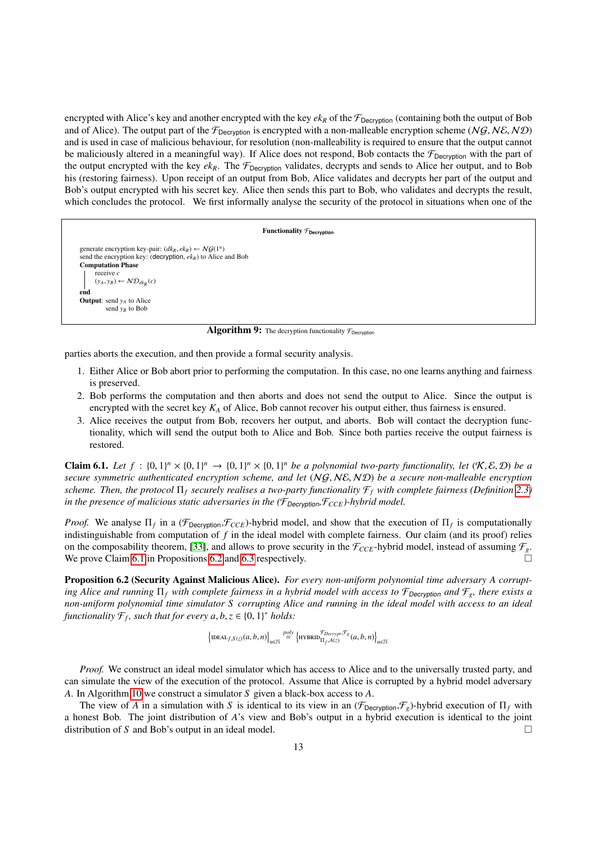encrypted with Alice's key and another encrypted with the key  $ek_R$  of the  $\mathcal{F}_{\text{Decryption}}$  (containing both the output of Bob and of Alice). The output part of the  $\mathcal{F}_{\text{Decryption}}$  is encrypted with a non-malleable encryption scheme ( $\mathcal{N}\mathcal{G}, \mathcal{N}\mathcal{E}, \mathcal{N}\mathcal{D}$ ) and is used in case of malicious behaviour, for resolution (non-malleability is required to ensure that the output cannot be maliciously altered in a meaningful way). If Alice does not respond, Bob contacts the  $\mathcal{F}_{\text{Dec}}$  with the part of the output encrypted with the key  $ek_R$ . The  $\mathcal{F}_{\text{Decryption}}$  validates, decrypts and sends to Alice her output, and to Bob his (restoring fairness). Upon receipt of an output from Bob, Alice validates and decrypts her part of the output and Bob's output encrypted with his secret key. Alice then sends this part to Bob, who validates and decrypts the result, which concludes the protocol. We first informally analyse the security of the protocol in situations when one of the

#### Functionality F**Decryption**

```
generate encryption key-pair: (dk_R, e k_R) \leftarrow NG(1^n)<br>send the encryption key: (decryption e k_D) to Alice
send the encryption key: (decryption, ekR) to Alice and Bob
Computation Phase
       receive c
        (y_A, y_B) \leftarrow \mathcal{ND}_{dk_R}(c)end
Output: send yA to Alice
            send y_B to Bob
```
**Algorithm 9:** The decryption functionality  $\mathcal{F}_{\text{Decryption}}$ 

parties aborts the execution, and then provide a formal security analysis.

- 1. Either Alice or Bob abort prior to performing the computation. In this case, no one learns anything and fairness is preserved.
- 2. Bob performs the computation and then aborts and does not send the output to Alice. Since the output is encrypted with the secret key *K<sup>A</sup>* of Alice, Bob cannot recover his output either, thus fairness is ensured.
- 3. Alice receives the output from Bob, recovers her output, and aborts. Bob will contact the decryption functionality, which will send the output both to Alice and Bob. Since both parties receive the output fairness is restored.

<span id="page-12-1"></span>**Claim 6.1.** Let  $f : \{0,1\}^n \times \{0,1\}^n \to \{0,1\}^n \times \{0,1\}^n$  be a polynomial two-party functionality, let  $(K, \mathcal{E}, \mathcal{D})$  be a secure symmetric quitenticated encryption scheme, and let  $(NG, N\mathcal{E}, N\mathcal{D})$  be a secure *secure symmetric authenticated encryption scheme, and let* (NG, NE, ND) *be a secure non-malleable encryption scheme. Then, the protocol*  $\Pi_f$  *securely realises a two-party functionality*  $\mathcal{F}_f$  *with complete fairness (Definition* [2.3\)](#page-4-3) *in the presence of malicious static adversaries in the (* $\mathcal{F}_{\text{Decryption}}$ *,* $\mathcal{F}_{\text{CCE}}$ *)-hybrid model.* 

*Proof.* We analyse  $\Pi_f$  in a ( $\mathcal{F}_{\text{Decryption}}$ , $\mathcal{F}_{\text{CCE}}$ )-hybrid model, and show that the execution of  $\Pi_f$  is computationally indistinguishable from computation of *f* in the ideal model with complete fairness. Our claim (and its proof) relies on the composability theorem, [\[33\]](#page-16-16), and allows to prove security in the  $\mathcal{F}_{CCE}$ -hybrid model, instead of assuming  $\mathcal{F}_g$ . We prove Claim [6.1](#page-12-1) in Propositions [6.2](#page-12-2) and [6.3](#page-12-3) respectively.

<span id="page-12-2"></span>Proposition 6.2 (Security Against Malicious Alice). *For every non-uniform polynomial time adversary A corrupting Alice and running*  $\Pi_f$  *with complete fairness in a hybrid model with access to*  $\mathcal{F}_{\text{Decryption}}$  *and*  $\mathcal{F}_g$ *, there exists a non-uniform polynomial time simulator S corrupting Alice and running in the ideal model with access to an ideal*  $f$ *unctionality*  $\mathcal{F}_f$ *, such that for every*  $a, b, z \in \{0, 1\}^*$  *holds:* 

> $\left\{\text{IDEAL}_{f,S(z)}(a,b,n)\right\}_{n\in\mathbb{N}}$  $\left\{\text{HYBRID}_{\Pi_f, A(z)}^{\mathcal{F}_{Decrypt}, \mathcal{F}_g}(a, b, n)\right\}_{n \in \mathbb{N}}$

*Proof.* We construct an ideal model simulator which has access to Alice and to the universally trusted party, and can simulate the view of the execution of the protocol. Assume that Alice is corrupted by a hybrid model adversary *A*. In Algorithm [10](#page-13-1) we construct a simulator *S* given a black-box access to *A*.

<span id="page-12-3"></span>The view of *A* in a simulation with *S* is identical to its view in an  $(\mathcal{F}_{\text{Decryption}}, \mathcal{F}_{g})$ -hybrid execution of  $\Pi_f$  with a honest Bob. The joint distribution of *A*'s view and Bob's output in a hybrid execution is identical to the joint distribution of *S* and Bob's output in an ideal model.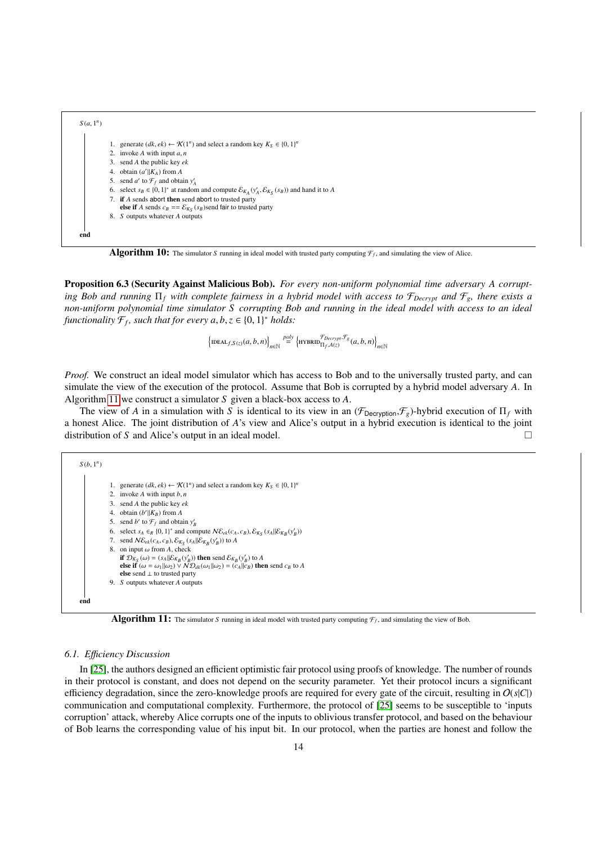<span id="page-13-1"></span>

Algorithm 10: The simulator *S* running in ideal model with trusted party computing  $\mathcal{F}_f$ , and simulating the view of Alice.

Proposition 6.3 (Security Against Malicious Bob). *For every non-uniform polynomial time adversary A corrupting Bob and running*  $\Pi_f$  *with complete fairness in a hybrid model with access to*  $\mathcal{F}_{pecrypt}$  *and*  $\mathcal{F}_g$ *, there exists a non-uniform polynomial time simulator S corrupting Bob and running in the ideal model with access to an ideal*  $f$ *unctionality*  $\mathcal{F}_f$ *, such that for every*  $a, b, z \in \{0, 1\}^*$  *holds:* 

$$
\left\{\text{IDEAL}_{f,S(z)}(a,b,n)\right\}_{n\in\mathbb{N}} \stackrel{poly}{=} \left\{\text{HYBRID}_{\Pi_f,A(z)}^{\overline{\mathcal{F}}_{Decrypt},\overline{\mathcal{F}}_S}(a,b,n)\right\}_{n\in\mathbb{N}}
$$

*Proof.* We construct an ideal model simulator which has access to Bob and to the universally trusted party, and can simulate the view of the execution of the protocol. Assume that Bob is corrupted by a hybrid model adversary *A*. In Algorithm [11](#page-13-2) we construct a simulator *S* given a black-box access to *A*.

The view of *A* in a simulation with *S* is identical to its view in an  $(\mathcal{F}_{\text{Decryption}}, \mathcal{F}_{g})$ -hybrid execution of  $\Pi_{f}$  with a honest Alice. The joint distribution of *A*'s view and Alice's output in a hybrid execution is identical to the joint distribution of *S* and Alice's output in an ideal model.

```
S(b, 1^n)1. generate (dk, ek) \leftarrow \mathcal{K}(1^n) and select a random key K_S \in \{0, 1\}^n<br>2. invoke A with input b, n
                       2. invoke A with input b, n
                       3. send A the public key ek
                        4. obtain (b'||K_B) from A
                        5. send b<sup>\prime</sup> to \mathcal{F}_f and obtain y'_B6. select s_A \in_R \{0, 1\}^* and compute N\mathcal{E}_{ek}(c_A, c_B), \mathcal{E}_{K_S}(s_A||\mathcal{E}_{K_B}(y'_B))<br>
7. send N\mathcal{E}_{ke}(c_A, c_B), \mathcal{E}_{e}(\alpha||\mathcal{E}_{e}(y')) to A7. send N\mathcal{E}_{ek}(c_A, c_B), \mathcal{E}_{K_S}(s_A||\mathcal{E}_{K_B}(y'_B)) to A<br>8. on input u from A shock
                        8. on input \omega from A, check<br>
if \mathcal{D}_{K_S}(\omega) = (s_A || \mathcal{E}_{K_B}(y'_B)) then send \mathcal{E}_{K_B}(y'_B) to A<br>
else if (\omega = \omega_1 || \omega_2) \vee \sqrt{\mathcal{D}_{dk}(\omega_1 || \omega_2)} = (c_A || c_B) then send c_B to A<br>
else send \perp to trusted narty
                               else send ⊥ to trusted party
                       9. S outputs whatever A outputs
end
```
Algorithm 11: The simulator *S* running in ideal model with trusted party computing  $\mathcal{F}_f$ , and simulating the view of Bob.

## <span id="page-13-0"></span>*6.1. E*ffi*ciency Discussion*

In [\[25\]](#page-16-9), the authors designed an efficient optimistic fair protocol using proofs of knowledge. The number of rounds in their protocol is constant, and does not depend on the security parameter. Yet their protocol incurs a significant efficiency degradation, since the zero-knowledge proofs are required for every gate of the circuit, resulting in  $O(s|C|)$ communication and computational complexity. Furthermore, the protocol of [\[25\]](#page-16-9) seems to be susceptible to 'inputs corruption' attack, whereby Alice corrupts one of the inputs to oblivious transfer protocol, and based on the behaviour of Bob learns the corresponding value of his input bit. In our protocol, when the parties are honest and follow the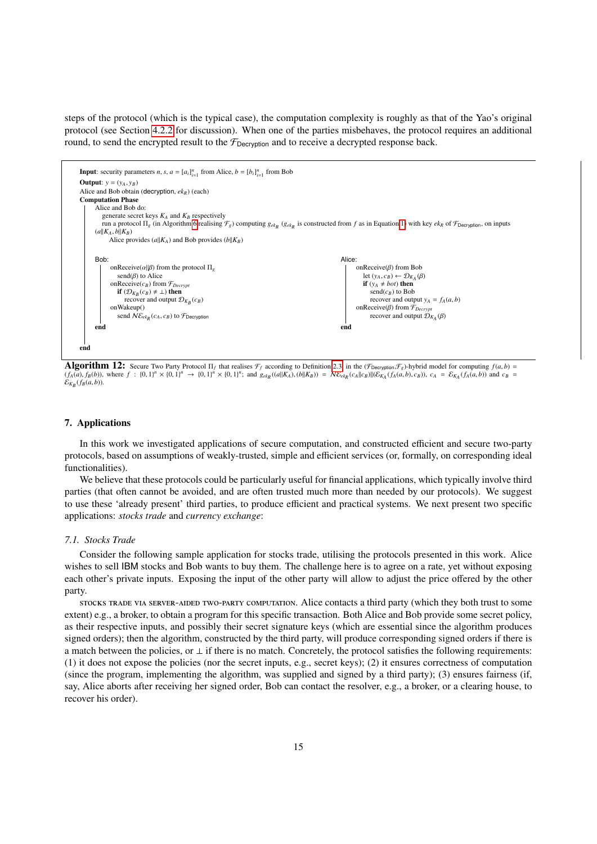steps of the protocol (which is the typical case), the computation complexity is roughly as that of the Yao's original protocol (see Section [4.2.2](#page-10-0) for discussion). When one of the parties misbehaves, the protocol requires an additional round, to send the encrypted result to the  $\mathcal{F}_{\text{Decryption}}$  and to receive a decrypted response back.

<span id="page-14-1"></span>

**Algorithm 12:** Secure Two Party Protocol  $\Pi_f$  that realises  $\mathcal{F}_f$  according to Definition [2.3,](#page-4-3) in the  $(\mathcal{F}_{\text{Decryption}}, \mathcal{F}_g)$ -hybrid model for computing  $f(a, b) = (f_A(a), f_B(b))$ , where  $f : \{0, 1\}^n \times \{0, 1\}^n \to \{0, 1\}^n$  $\mathcal{E}_{K_B}(f_B(a,b)).$ 

# <span id="page-14-0"></span>7. Applications

In this work we investigated applications of secure computation, and constructed efficient and secure two-party protocols, based on assumptions of weakly-trusted, simple and efficient services (or, formally, on corresponding ideal functionalities).

We believe that these protocols could be particularly useful for financial applications, which typically involve third parties (that often cannot be avoided, and are often trusted much more than needed by our protocols). We suggest to use these 'already present' third parties, to produce efficient and practical systems. We next present two specific applications: *stocks trade* and *currency exchange*:

#### *7.1. Stocks Trade*

Consider the following sample application for stocks trade, utilising the protocols presented in this work. Alice wishes to sell IBM stocks and Bob wants to buy them. The challenge here is to agree on a rate, yet without exposing each other's private inputs. Exposing the input of the other party will allow to adjust the price offered by the other party.

stocks trade via server-aided two-party computation. Alice contacts a third party (which they both trust to some extent) e.g., a broker, to obtain a program for this specific transaction. Both Alice and Bob provide some secret policy, as their respective inputs, and possibly their secret signature keys (which are essential since the algorithm produces signed orders); then the algorithm, constructed by the third party, will produce corresponding signed orders if there is a match between the policies, or  $\perp$  if there is no match. Concretely, the protocol satisfies the following requirements: (1) it does not expose the policies (nor the secret inputs, e.g., secret keys); (2) it ensures correctness of computation (since the program, implementing the algorithm, was supplied and signed by a third party); (3) ensures fairness (if, say, Alice aborts after receiving her signed order, Bob can contact the resolver, e.g., a broker, or a clearing house, to recover his order).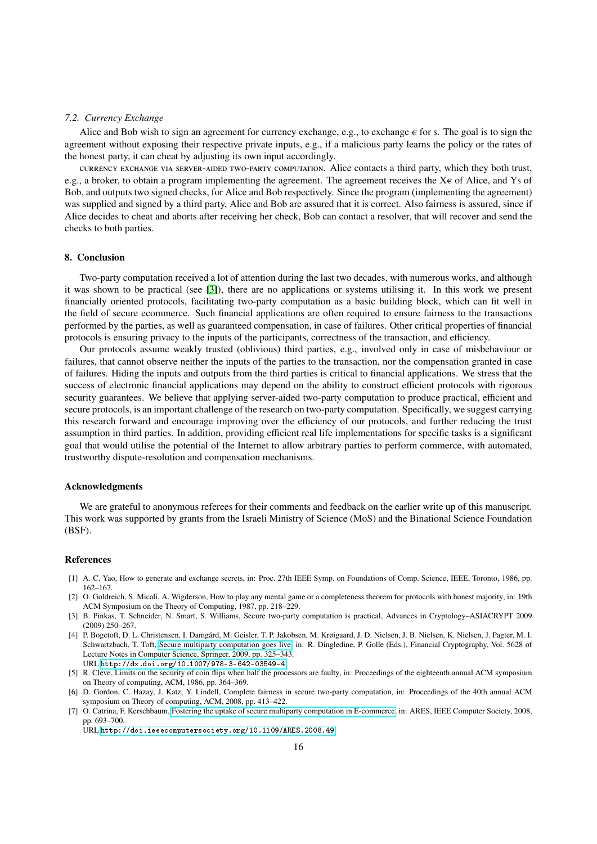### *7.2. Currency Exchange*

Alice and Bob wish to sign an agreement for currency exchange, e.g., to exchange  $\epsilon$  for s. The goal is to sign the agreement without exposing their respective private inputs, e.g., if a malicious party learns the policy or the rates of the honest party, it can cheat by adjusting its own input accordingly.

currency exchange via server-aided two-party computation. Alice contacts a third party, which they both trust, e.g., a broker, to obtain a program implementing the agreement. The agreement receives the  $X_{\epsilon}$  of Alice, and Y<sub>\$</sub> of Bob, and outputs two signed checks, for Alice and Bob respectively. Since the program (implementing the agreement) was supplied and signed by a third party, Alice and Bob are assured that it is correct. Also fairness is assured, since if Alice decides to cheat and aborts after receiving her check, Bob can contact a resolver, that will recover and send the checks to both parties.

# <span id="page-15-7"></span>8. Conclusion

Two-party computation received a lot of attention during the last two decades, with numerous works, and although it was shown to be practical (see [\[3\]](#page-15-2)), there are no applications or systems utilising it. In this work we present financially oriented protocols, facilitating two-party computation as a basic building block, which can fit well in the field of secure ecommerce. Such financial applications are often required to ensure fairness to the transactions performed by the parties, as well as guaranteed compensation, in case of failures. Other critical properties of financial protocols is ensuring privacy to the inputs of the participants, correctness of the transaction, and efficiency.

Our protocols assume weakly trusted (oblivious) third parties, e.g., involved only in case of misbehaviour or failures, that cannot observe neither the inputs of the parties to the transaction, nor the compensation granted in case of failures. Hiding the inputs and outputs from the third parties is critical to financial applications. We stress that the success of electronic financial applications may depend on the ability to construct efficient protocols with rigorous security guarantees. We believe that applying server-aided two-party computation to produce practical, efficient and secure protocols, is an important challenge of the research on two-party computation. Specifically, we suggest carrying this research forward and encourage improving over the efficiency of our protocols, and further reducing the trust assumption in third parties. In addition, providing efficient real life implementations for specific tasks is a significant goal that would utilise the potential of the Internet to allow arbitrary parties to perform commerce, with automated, trustworthy dispute-resolution and compensation mechanisms.

# Acknowledgments

We are grateful to anonymous referees for their comments and feedback on the earlier write up of this manuscript. This work was supported by grants from the Israeli Ministry of Science (MoS) and the Binational Science Foundation (BSF).

#### References

- <span id="page-15-0"></span>[1] A. C. Yao, How to generate and exchange secrets, in: Proc. 27th IEEE Symp. on Foundations of Comp. Science, IEEE, Toronto, 1986, pp. 162–167.
- <span id="page-15-1"></span>[2] O. Goldreich, S. Micali, A. Wigderson, How to play any mental game or a completeness theorem for protocols with honest majority, in: 19th ACM Symposium on the Theory of Computing, 1987, pp. 218–229.
- <span id="page-15-2"></span>[3] B. Pinkas, T. Schneider, N. Smart, S. Williams, Secure two-party computation is practical, Advances in Cryptology–ASIACRYPT 2009 (2009) 250–267.
- <span id="page-15-3"></span>[4] P. Bogetoft, D. L. Christensen, I. Damgård, M. Geisler, T. P. Jakobsen, M. Krøigaard, J. D. Nielsen, J. B. Nielsen, K. Nielsen, J. Pagter, M. I. Schwartzbach, T. Toft, [Secure multiparty computation goes live,](http://dx.doi.org/10.1007/978-3-642-03549-4) in: R. Dingledine, P. Golle (Eds.), Financial Cryptography, Vol. 5628 of Lecture Notes in Computer Science, Springer, 2009, pp. 325–343. URL <http://dx.doi.org/10.1007/978-3-642-03549-4>
- <span id="page-15-4"></span>[5] R. Cleve, Limits on the security of coin flips when half the processors are faulty, in: Proceedings of the eighteenth annual ACM symposium on Theory of computing, ACM, 1986, pp. 364–369.
- <span id="page-15-5"></span>[6] D. Gordon, C. Hazay, J. Katz, Y. Lindell, Complete fairness in secure two-party computation, in: Proceedings of the 40th annual ACM symposium on Theory of computing, ACM, 2008, pp. 413–422.
- <span id="page-15-6"></span>[7] O. Catrina, F. Kerschbaum, [Fostering the uptake of secure multiparty computation in E-commerce,](http://doi.ieeecomputersociety.org/10.1109/ARES.2008.49) in: ARES, IEEE Computer Society, 2008, pp. 693–700.

URL <http://doi.ieeecomputersociety.org/10.1109/ARES.2008.49>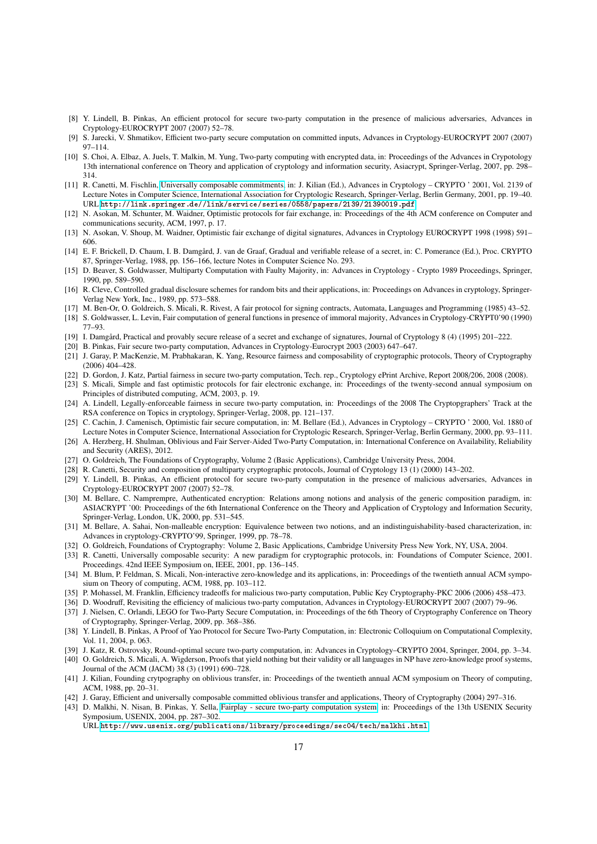- <span id="page-16-0"></span>[8] Y. Lindell, B. Pinkas, An efficient protocol for secure two-party computation in the presence of malicious adversaries, Advances in Cryptology-EUROCRYPT 2007 (2007) 52–78.
- <span id="page-16-26"></span>[9] S. Jarecki, V. Shmatikov, Efficient two-party secure computation on committed inputs, Advances in Cryptology-EUROCRYPT 2007 (2007) 97–114.
- <span id="page-16-1"></span>[10] S. Choi, A. Elbaz, A. Juels, T. Malkin, M. Yung, Two-party computing with encrypted data, in: Proceedings of the Advances in Crypotology 13th international conference on Theory and application of cryptology and information security, Asiacrypt, Springer-Verlag, 2007, pp. 298– 314.
- <span id="page-16-2"></span>[11] R. Canetti, M. Fischlin, [Universally composable commitments,](http://link.springer.de//link/service/series/0558/papers/2139/21390019.pdf) in: J. Kilian (Ed.), Advances in Cryptology – CRYPTO ' 2001, Vol. 2139 of Lecture Notes in Computer Science, International Association for Cryptologic Research, Springer-Verlag, Berlin Germany, 2001, pp. 19–40. URL <http://link.springer.de//link/service/series/0558/papers/2139/21390019.pdf>
- <span id="page-16-3"></span>[12] N. Asokan, M. Schunter, M. Waidner, Optimistic protocols for fair exchange, in: Proceedings of the 4th ACM conference on Computer and communications security, ACM, 1997, p. 17.
- <span id="page-16-4"></span>[13] N. Asokan, V. Shoup, M. Waidner, Optimistic fair exchange of digital signatures, Advances in Cryptology EUROCRYPT 1998 (1998) 591– 606.
- <span id="page-16-5"></span>[14] E. F. Brickell, D. Chaum, I. B. Damgård, J. van de Graaf, Gradual and verifiable release of a secret, in: C. Pomerance (Ed.), Proc. CRYPTO 87, Springer-Verlag, 1988, pp. 156–166, lecture Notes in Computer Science No. 293.
- [15] D. Beaver, S. Goldwasser, Multiparty Computation with Faulty Majority, in: Advances in Cryptology Crypto 1989 Proceedings, Springer, 1990, pp. 589–590.
- [16] R. Cleve, Controlled gradual disclosure schemes for random bits and their applications, in: Proceedings on Advances in cryptology, Springer-Verlag New York, Inc., 1989, pp. 573–588.
- [17] M. Ben-Or, O. Goldreich, S. Micali, R. Rivest, A fair protocol for signing contracts, Automata, Languages and Programming (1985) 43–52.
- [18] S. Goldwasser, L. Levin, Fair computation of general functions in presence of immoral majority, Advances in Cryptology-CRYPT0'90 (1990) 77–93.
- [19] I. Damgård, Practical and provably secure release of a secret and exchange of signatures, Journal of Cryptology 8 (4) (1995) 201–222.
- [20] B. Pinkas, Fair secure two-party computation, Advances in Cryptology-Eurocrypt 2003 (2003) 647–647.
- [21] J. Garay, P. MacKenzie, M. Prabhakaran, K. Yang, Resource fairness and composability of cryptographic protocols, Theory of Cryptography (2006) 404–428.
- <span id="page-16-6"></span>[22] D. Gordon, J. Katz, Partial fairness in secure two-party computation, Tech. rep., Cryptology ePrint Archive, Report 2008/206, 2008 (2008).
- <span id="page-16-7"></span>[23] S. Micali, Simple and fast optimistic protocols for fair electronic exchange, in: Proceedings of the twenty-second annual symposium on Principles of distributed computing, ACM, 2003, p. 19.
- <span id="page-16-8"></span>[24] A. Lindell, Legally-enforceable fairness in secure two-party computation, in: Proceedings of the 2008 The Cryptopgraphers' Track at the RSA conference on Topics in cryptology, Springer-Verlag, 2008, pp. 121–137.
- <span id="page-16-9"></span>[25] C. Cachin, J. Camenisch, Optimistic fair secure computation, in: M. Bellare (Ed.), Advances in Cryptology – CRYPTO ' 2000, Vol. 1880 of Lecture Notes in Computer Science, International Association for Cryptologic Research, Springer-Verlag, Berlin Germany, 2000, pp. 93–111.
- <span id="page-16-10"></span>[26] A. Herzberg, H. Shulman, Oblivious and Fair Server-Aided Two-Party Computation, in: International Conference on Availability, Reliability and Security (ARES), 2012.
- <span id="page-16-11"></span>[27] O. Goldreich, The Foundations of Cryptography, Volume 2 (Basic Applications), Cambridge University Press, 2004.
- [28] R. Canetti, Security and composition of multiparty cryptographic protocols, Journal of Cryptology 13 (1) (2000) 143–202.
- <span id="page-16-12"></span>[29] Y. Lindell, B. Pinkas, An efficient protocol for secure two-party computation in the presence of malicious adversaries, Advances in Cryptology-EUROCRYPT 2007 (2007) 52–78.
- <span id="page-16-13"></span>[30] M. Bellare, C. Namprempre, Authenticated encryption: Relations among notions and analysis of the generic composition paradigm, in: ASIACRYPT '00: Proceedings of the 6th International Conference on the Theory and Application of Cryptology and Information Security, Springer-Verlag, London, UK, 2000, pp. 531–545.
- <span id="page-16-14"></span>[31] M. Bellare, A. Sahai, Non-malleable encryption: Equivalence between two notions, and an indistinguishability-based characterization, in: Advances in cryptology-CRYPTO'99, Springer, 1999, pp. 78–78.
- <span id="page-16-15"></span>[32] O. Goldreich, Foundations of Cryptography: Volume 2, Basic Applications, Cambridge University Press New York, NY, USA, 2004.
- <span id="page-16-16"></span>[33] R. Canetti, Universally composable security: A new paradigm for cryptographic protocols, in: Foundations of Computer Science, 2001. Proceedings. 42nd IEEE Symposium on, IEEE, 2001, pp. 136–145.
- <span id="page-16-17"></span>[34] M. Blum, P. Feldman, S. Micali, Non-interactive zero-knowledge and its applications, in: Proceedings of the twentieth annual ACM symposium on Theory of computing, ACM, 1988, pp. 103–112.
- <span id="page-16-18"></span>[35] P. Mohassel, M. Franklin, Efficiency tradeoffs for malicious two-party computation, Public Key Cryptography-PKC 2006 (2006) 458–473.
- <span id="page-16-24"></span>[36] D. Woodruff, Revisiting the efficiency of malicious two-party computation, Advances in Cryptology-EUROCRYPT 2007 (2007) 79–96.
- <span id="page-16-19"></span>[37] J. Nielsen, C. Orlandi, LEGO for Two-Party Secure Computation, in: Proceedings of the 6th Theory of Cryptography Conference on Theory of Cryptography, Springer-Verlag, 2009, pp. 368–386.
- <span id="page-16-20"></span>[38] Y. Lindell, B. Pinkas, A Proof of Yao Protocol for Secure Two-Party Computation, in: Electronic Colloquium on Computational Complexity, Vol. 11, 2004, p. 063.
- <span id="page-16-21"></span>[39] J. Katz, R. Ostrovsky, Round-optimal secure two-party computation, in: Advances in Cryptology–CRYPTO 2004, Springer, 2004, pp. 3–34.
- [40] O. Goldreich, S. Micali, A. Wigderson, Proofs that yield nothing but their validity or all languages in NP have zero-knowledge proof systems, Journal of the ACM (JACM) 38 (3) (1991) 690–728.
- <span id="page-16-22"></span>[41] J. Kilian, Founding crytpography on oblivious transfer, in: Proceedings of the twentieth annual ACM symposium on Theory of computing, ACM, 1988, pp. 20–31.
- <span id="page-16-23"></span>[42] J. Garay, Efficient and universally composable committed oblivious transfer and applications, Theory of Cryptography (2004) 297–316.
- <span id="page-16-25"></span>[43] D. Malkhi, N. Nisan, B. Pinkas, Y. Sella, [Fairplay - secure two-party computation system,](http://www.usenix.org/publications/library/proceedings/sec04/tech/malkhi.html) in: Proceedings of the 13th USENIX Security Symposium, USENIX, 2004, pp. 287–302.

URL <http://www.usenix.org/publications/library/proceedings/sec04/tech/malkhi.html>